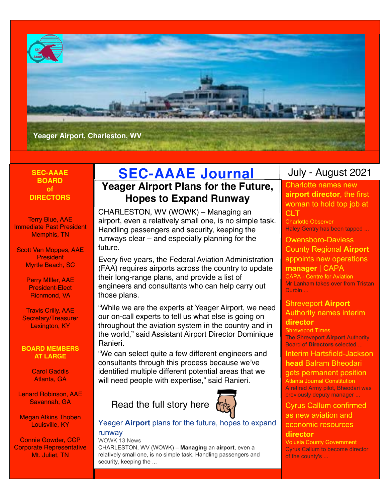

# **BOARD of DIRECTORS**

Terry Blue, AAE Immediate Past President Memphis, TN

Scott Van Moppes, AAE **President** Myrtle Beach, SC

> Perry MIller, AAE President-Elect Ricnmond, VA

Travis Crilly, AAE Secretary/Treasurer Lexington, KY

#### **BOARD MEMBERS AT LARGE**

Carol Gaddis Atlanta, GA

Lenard Robinson, AAE Savannah, GA

Megan Atkins Thoben Louisville, KY

Connie Gowder, CCP Corporate Representative Mt. Juliet, TN

# **SEC-AAAE SEC-AAAE Journal**

# **Yeager Airport Plans for the Future, Hopes to Expand Runway**

CHARLESTON, WV (WOWK) – Managing an airport, even a relatively small one, is no simple task. Handling passengers and security, keeping the runways clear – and especially planning for the future.

Every five years, the Federal Aviation Administration (FAA) requires airports across the country to update their long-range plans, and provide a list of engineers and consultants who can help carry out those plans.

"While we are the experts at Yeager Airport, we need our on-call experts to tell us what else is going on throughout the aviation system in the country and in the world," said Assistant Airport Director Dominique Ranieri.

"We can select quite a few different engineers and consultants through this process because we've identified multiple different potential areas that we will need people with expertise," said Ranieri.

Read the full story here



# [Yeager](https://www.google.com/url?rct=j&sa=t&url=https://www.wowktv.com/news/local/yeager-airport-plans-for-the-future-hopes-to-expand-runway/&ct=ga&cd=CAEYACoUMTU5NjA0NTg3NDM5NDg1MzA0MzgyHDhlY2I2NzFkZWZlZDY4MWU6Y29tOmVuOlVTOlI&usg=AFQjCNGxbKYD4xPeuiy8GPUUkLjNPBhMEw) **[Airport](https://www.google.com/url?rct=j&sa=t&url=https://www.wowktv.com/news/local/yeager-airport-plans-for-the-future-hopes-to-expand-runway/&ct=ga&cd=CAEYACoUMTU5NjA0NTg3NDM5NDg1MzA0MzgyHDhlY2I2NzFkZWZlZDY4MWU6Y29tOmVuOlVTOlI&usg=AFQjCNGxbKYD4xPeuiy8GPUUkLjNPBhMEw)** [plans for the future, hopes to expand](https://www.google.com/url?rct=j&sa=t&url=https://www.wowktv.com/news/local/yeager-airport-plans-for-the-future-hopes-to-expand-runway/&ct=ga&cd=CAEYACoUMTU5NjA0NTg3NDM5NDg1MzA0MzgyHDhlY2I2NzFkZWZlZDY4MWU6Y29tOmVuOlVTOlI&usg=AFQjCNGxbKYD4xPeuiy8GPUUkLjNPBhMEw)  [runway](https://www.google.com/url?rct=j&sa=t&url=https://www.wowktv.com/news/local/yeager-airport-plans-for-the-future-hopes-to-expand-runway/&ct=ga&cd=CAEYACoUMTU5NjA0NTg3NDM5NDg1MzA0MzgyHDhlY2I2NzFkZWZlZDY4MWU6Y29tOmVuOlVTOlI&usg=AFQjCNGxbKYD4xPeuiy8GPUUkLjNPBhMEw)

#### WOWK 13 News

CHARLESTON, WV (WOWK) – **Managing** an **airport**, even a relatively small one, is no simple task. Handling passengers and security, keeping the ...

# July - August 2021

[Charlotte names new](https://www.google.com/url?rct=j&sa=t&url=https://www.charlotteobserver.com/news/business/article251849438.html&ct=ga&cd=CAEYACoUMTU5MzE0Njg4MTg3NDM3MzI1NzgyHDE0ODBmMGNhZjliMjExMmU6Y29tOmVuOlVTOlI&usg=AFQjCNFmlWxWxHoLdnBW1XXibNDMvpFzEQ)  **[airport director](https://www.google.com/url?rct=j&sa=t&url=https://www.charlotteobserver.com/news/business/article251849438.html&ct=ga&cd=CAEYACoUMTU5MzE0Njg4MTg3NDM3MzI1NzgyHDE0ODBmMGNhZjliMjExMmU6Y29tOmVuOlVTOlI&usg=AFQjCNFmlWxWxHoLdnBW1XXibNDMvpFzEQ)**[, the first](https://www.google.com/url?rct=j&sa=t&url=https://www.charlotteobserver.com/news/business/article251849438.html&ct=ga&cd=CAEYACoUMTU5MzE0Njg4MTg3NDM3MzI1NzgyHDE0ODBmMGNhZjliMjExMmU6Y29tOmVuOlVTOlI&usg=AFQjCNFmlWxWxHoLdnBW1XXibNDMvpFzEQ)  [woman to hold top job at](https://www.google.com/url?rct=j&sa=t&url=https://www.charlotteobserver.com/news/business/article251849438.html&ct=ga&cd=CAEYACoUMTU5MzE0Njg4MTg3NDM3MzI1NzgyHDE0ODBmMGNhZjliMjExMmU6Y29tOmVuOlVTOlI&usg=AFQjCNFmlWxWxHoLdnBW1XXibNDMvpFzEQ)  [CLT](https://www.google.com/url?rct=j&sa=t&url=https://www.charlotteobserver.com/news/business/article251849438.html&ct=ga&cd=CAEYACoUMTU5MzE0Njg4MTg3NDM3MzI1NzgyHDE0ODBmMGNhZjliMjExMmU6Y29tOmVuOlVTOlI&usg=AFQjCNFmlWxWxHoLdnBW1XXibNDMvpFzEQ)

Charlotte Observer Haley Gentry has been tapped ...

[Owensboro-Daviess](https://www.google.com/url?rct=j&sa=t&url=https://centreforaviation.com/news/owensboro-daviess-county-regional-airport-appoints-new-operations-manager-1069486&ct=ga&cd=CAEYAioUMTYwOTgxMTE2MjExODg1NzMzOTkyHDhlY2I2NzFkZWZlZDY4MWU6Y29tOmVuOlVTOlI&usg=AFQjCNEBtWHyO_jBuTJKSMG1-xlnoOH7WA)  [County Regional](https://www.google.com/url?rct=j&sa=t&url=https://centreforaviation.com/news/owensboro-daviess-county-regional-airport-appoints-new-operations-manager-1069486&ct=ga&cd=CAEYAioUMTYwOTgxMTE2MjExODg1NzMzOTkyHDhlY2I2NzFkZWZlZDY4MWU6Y29tOmVuOlVTOlI&usg=AFQjCNEBtWHyO_jBuTJKSMG1-xlnoOH7WA) **[Airport](https://www.google.com/url?rct=j&sa=t&url=https://centreforaviation.com/news/owensboro-daviess-county-regional-airport-appoints-new-operations-manager-1069486&ct=ga&cd=CAEYAioUMTYwOTgxMTE2MjExODg1NzMzOTkyHDhlY2I2NzFkZWZlZDY4MWU6Y29tOmVuOlVTOlI&usg=AFQjCNEBtWHyO_jBuTJKSMG1-xlnoOH7WA)** [appoints new operations](https://www.google.com/url?rct=j&sa=t&url=https://centreforaviation.com/news/owensboro-daviess-county-regional-airport-appoints-new-operations-manager-1069486&ct=ga&cd=CAEYAioUMTYwOTgxMTE2MjExODg1NzMzOTkyHDhlY2I2NzFkZWZlZDY4MWU6Y29tOmVuOlVTOlI&usg=AFQjCNEBtWHyO_jBuTJKSMG1-xlnoOH7WA)  **[manager](https://www.google.com/url?rct=j&sa=t&url=https://centreforaviation.com/news/owensboro-daviess-county-regional-airport-appoints-new-operations-manager-1069486&ct=ga&cd=CAEYAioUMTYwOTgxMTE2MjExODg1NzMzOTkyHDhlY2I2NzFkZWZlZDY4MWU6Y29tOmVuOlVTOlI&usg=AFQjCNEBtWHyO_jBuTJKSMG1-xlnoOH7WA)** [| CAPA](https://www.google.com/url?rct=j&sa=t&url=https://centreforaviation.com/news/owensboro-daviess-county-regional-airport-appoints-new-operations-manager-1069486&ct=ga&cd=CAEYAioUMTYwOTgxMTE2MjExODg1NzMzOTkyHDhlY2I2NzFkZWZlZDY4MWU6Y29tOmVuOlVTOlI&usg=AFQjCNEBtWHyO_jBuTJKSMG1-xlnoOH7WA)

CAPA - Centre for Aviation Mr Lanham takes over from Tristan Durbin ...

# [Shreveport](https://www.google.com/url?rct=j&sa=t&url=https://www.shreveporttimes.com/story/news/local/2021/06/03/stephanie-tucker-named-interim-director-shreveport-airport-authority/7530876002/&ct=ga&cd=CAEYASoSOTkxMjgzOTY0MDIwOTQyMDE2Mhw4ZWNiNjcxZGVmZWQ2ODFlOmNvbTplbjpVUzpS&usg=AFQjCNG_c0cJ1yUoPVJf7CxdGRBz6m08ag) **[Airport](https://www.google.com/url?rct=j&sa=t&url=https://www.shreveporttimes.com/story/news/local/2021/06/03/stephanie-tucker-named-interim-director-shreveport-airport-authority/7530876002/&ct=ga&cd=CAEYASoSOTkxMjgzOTY0MDIwOTQyMDE2Mhw4ZWNiNjcxZGVmZWQ2ODFlOmNvbTplbjpVUzpS&usg=AFQjCNG_c0cJ1yUoPVJf7CxdGRBz6m08ag)** [Authority names interim](https://www.google.com/url?rct=j&sa=t&url=https://www.shreveporttimes.com/story/news/local/2021/06/03/stephanie-tucker-named-interim-director-shreveport-airport-authority/7530876002/&ct=ga&cd=CAEYASoSOTkxMjgzOTY0MDIwOTQyMDE2Mhw4ZWNiNjcxZGVmZWQ2ODFlOmNvbTplbjpVUzpS&usg=AFQjCNG_c0cJ1yUoPVJf7CxdGRBz6m08ag)  **[director](https://www.google.com/url?rct=j&sa=t&url=https://www.shreveporttimes.com/story/news/local/2021/06/03/stephanie-tucker-named-interim-director-shreveport-airport-authority/7530876002/&ct=ga&cd=CAEYASoSOTkxMjgzOTY0MDIwOTQyMDE2Mhw4ZWNiNjcxZGVmZWQ2ODFlOmNvbTplbjpVUzpS&usg=AFQjCNG_c0cJ1yUoPVJf7CxdGRBz6m08ag)**

Shreveport Times The Shreveport **Airport** Authority Board of **Directors** selected ...

[Interim Hartsfield-Jackson](https://www.google.com/url?rct=j&sa=t&url=https://www.ajc.com/news/business/interim-hartsfield-jackson-head-balram-bheodari-gets-permanent-position/MP3EIJUMABDTHPEGVCJJMPQV4U/&ct=ga&cd=CAEYACoUMTUxMzIzNjE4OTg4MzAyNjIwNzIyHDhlY2I2NzFkZWZlZDY4MWU6Y29tOmVuOlVTOlI&usg=AFQjCNGFY0o2XwDd14QB2J3wqgv_cgBtTA)  **[head](https://www.google.com/url?rct=j&sa=t&url=https://www.ajc.com/news/business/interim-hartsfield-jackson-head-balram-bheodari-gets-permanent-position/MP3EIJUMABDTHPEGVCJJMPQV4U/&ct=ga&cd=CAEYACoUMTUxMzIzNjE4OTg4MzAyNjIwNzIyHDhlY2I2NzFkZWZlZDY4MWU6Y29tOmVuOlVTOlI&usg=AFQjCNGFY0o2XwDd14QB2J3wqgv_cgBtTA)** [Balram Bheodari](https://www.google.com/url?rct=j&sa=t&url=https://www.ajc.com/news/business/interim-hartsfield-jackson-head-balram-bheodari-gets-permanent-position/MP3EIJUMABDTHPEGVCJJMPQV4U/&ct=ga&cd=CAEYACoUMTUxMzIzNjE4OTg4MzAyNjIwNzIyHDhlY2I2NzFkZWZlZDY4MWU6Y29tOmVuOlVTOlI&usg=AFQjCNGFY0o2XwDd14QB2J3wqgv_cgBtTA) 

#### [gets permanent position](https://www.google.com/url?rct=j&sa=t&url=https://www.ajc.com/news/business/interim-hartsfield-jackson-head-balram-bheodari-gets-permanent-position/MP3EIJUMABDTHPEGVCJJMPQV4U/&ct=ga&cd=CAEYACoUMTUxMzIzNjE4OTg4MzAyNjIwNzIyHDhlY2I2NzFkZWZlZDY4MWU6Y29tOmVuOlVTOlI&usg=AFQjCNGFY0o2XwDd14QB2J3wqgv_cgBtTA) Atlanta Journal Constitution A retired Army pilot, Bheodari was

previously deputy manager ...

# [Cyrus Callum confirmed](https://www.google.com/url?rct=j&sa=t&url=https://www.volusia.org/news/news-releases.stml%3FportalProcess_dd_0_1_1%3DshowPublicPosting%26calendar_entry_id%3D55560&ct=ga&cd=CAEYACoUMTE0OTM5MzM0ODYyMjE4NjIzNzQyHDhlY2I2NzFkZWZlZDY4MWU6Y29tOmVuOlVTOlI&usg=AFQjCNFy6ob_Lanko1i7Ekr0GiBn1AAUKg)  [as new aviation and](https://www.google.com/url?rct=j&sa=t&url=https://www.volusia.org/news/news-releases.stml%3FportalProcess_dd_0_1_1%3DshowPublicPosting%26calendar_entry_id%3D55560&ct=ga&cd=CAEYACoUMTE0OTM5MzM0ODYyMjE4NjIzNzQyHDhlY2I2NzFkZWZlZDY4MWU6Y29tOmVuOlVTOlI&usg=AFQjCNFy6ob_Lanko1i7Ekr0GiBn1AAUKg)  [economic resources](https://www.google.com/url?rct=j&sa=t&url=https://www.volusia.org/news/news-releases.stml%3FportalProcess_dd_0_1_1%3DshowPublicPosting%26calendar_entry_id%3D55560&ct=ga&cd=CAEYACoUMTE0OTM5MzM0ODYyMjE4NjIzNzQyHDhlY2I2NzFkZWZlZDY4MWU6Y29tOmVuOlVTOlI&usg=AFQjCNFy6ob_Lanko1i7Ekr0GiBn1AAUKg)

# **[director](https://www.google.com/url?rct=j&sa=t&url=https://www.volusia.org/news/news-releases.stml%3FportalProcess_dd_0_1_1%3DshowPublicPosting%26calendar_entry_id%3D55560&ct=ga&cd=CAEYACoUMTE0OTM5MzM0ODYyMjE4NjIzNzQyHDhlY2I2NzFkZWZlZDY4MWU6Y29tOmVuOlVTOlI&usg=AFQjCNFy6ob_Lanko1i7Ekr0GiBn1AAUKg)**

Volusia County Government Cyrus Callum to become director of the county's ...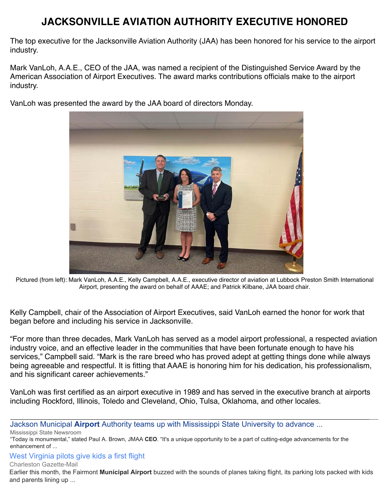# **JACKSONVILLE AVIATION AUTHORITY EXECUTIVE HONORED**

The top executive for the Jacksonville Aviation Authority (JAA) has been honored for his service to the airport industry.

Mark VanLoh, A.A.E., CEO of the JAA, was named a recipient of the Distinguished Service Award by the American Association of Airport Executives. The award marks contributions officials make to the airport industry.

VanLoh was presented the award by the JAA board of directors Monday.



Pictured (from left): Mark VanLoh, A.A.E., Kelly Campbell, A.A.E., executive director of aviation at Lubbock Preston Smith International Airport, presenting the award on behalf of AAAE; and Patrick Kilbane, JAA board chair.

Kelly Campbell, chair of the Association of Airport Executives, said VanLoh earned the honor for work that began before and including his service in Jacksonville.

"For more than three decades, Mark VanLoh has served as a model airport professional, a respected aviation industry voice, and an effective leader in the communities that have been fortunate enough to have his services," Campbell said. "Mark is the rare breed who has proved adept at getting things done while always being agreeable and respectful. It is fitting that AAAE is honoring him for his dedication, his professionalism, and his significant career achievements."

VanLoh was first certified as an airport executive in 1989 and has served in the executive branch at airports including Rockford, Illinois, Toledo and Cleveland, Ohio, Tulsa, Oklahoma, and other locales.

[Jackson Municipal](https://www.google.com/url?rct=j&sa=t&url=http://www.msstate.edu/newsroom/article/2021/05/jackson-municipal-airport-authority-teams-mississippi-state-university&ct=ga&cd=CAEYACoUMTY3NzIyNjY5NDkxNzA5NjA2MzIyHDE0ODBmMGNhZjliMjExMmU6Y29tOmVuOlVTOlI&usg=AFQjCNG8iveNp8PVvf8MyqZsZkMRQZ3LTQ) **[Airport](https://www.google.com/url?rct=j&sa=t&url=http://www.msstate.edu/newsroom/article/2021/05/jackson-municipal-airport-authority-teams-mississippi-state-university&ct=ga&cd=CAEYACoUMTY3NzIyNjY5NDkxNzA5NjA2MzIyHDE0ODBmMGNhZjliMjExMmU6Y29tOmVuOlVTOlI&usg=AFQjCNG8iveNp8PVvf8MyqZsZkMRQZ3LTQ)** [Authority teams up with Mississippi State University to advance ...](https://www.google.com/url?rct=j&sa=t&url=http://www.msstate.edu/newsroom/article/2021/05/jackson-municipal-airport-authority-teams-mississippi-state-university&ct=ga&cd=CAEYACoUMTY3NzIyNjY5NDkxNzA5NjA2MzIyHDE0ODBmMGNhZjliMjExMmU6Y29tOmVuOlVTOlI&usg=AFQjCNG8iveNp8PVvf8MyqZsZkMRQZ3LTQ)

Mississippi State Newsroom

"Today is monumental," stated Paul A. Brown, JMAA **CEO**. "It's a unique opportunity to be a part of cutting-edge advancements for the enhancement of ...

# [West Virginia pilots give kids a first flight](https://www.google.com/url?rct=j&sa=t&url=https://www.wvgazettemail.com/ap/state/west-virginia-pilots-give-kids-a-first-flight/article_5e45e270-1d49-561f-9296-07a2022141c3.html&ct=ga&cd=CAEYBioUMTM5NzkxNjc4ODA2MzY1Mzg5MzIyGjEyYzMwOTdlZDc1NDlmN2U6Y29tOmVuOlVT&usg=AFQjCNE8v_8cgYhRv2dEMjnnve0OfBzzWQ)

Charleston Gazette-Mail

Earlier this month, the Fairmont **Municipal Airport** buzzed with the sounds of planes taking flight, its parking lots packed with kids and parents lining up ...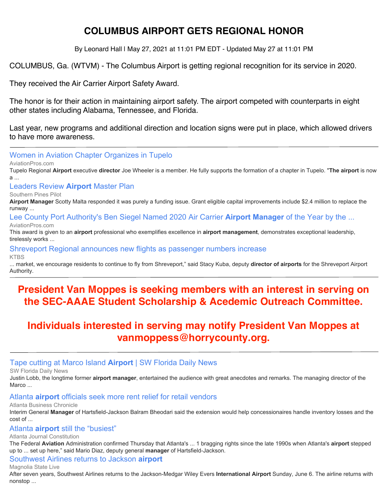# **COLUMBUS AIRPORT GETS REGIONAL HONOR**

By Leonard Hall | May 27, 2021 at 11:01 PM EDT - Updated May 27 at 11:01 PM

COLUMBUS, Ga. (WTVM) - The Columbus Airport is getting regional recognition for its service in 2020.

They received the Air Carrier Airport Safety Award.

The honor is for their action in maintaining airport safety. The airport competed with counterparts in eight other states including Alabama, Tennessee, and Florida.

Last year, new programs and additional direction and location signs were put in place, which allowed drivers to have more awareness.

[Women in Aviation Chapter Organizes in Tupelo](https://www.google.com/url?rct=j&sa=t&url=https://www.aviationpros.com/aircraft/business-general-aviation/news/21224904/women-in-aviation-chapter-organizes-in-tupelo&ct=ga&cd=CAEYACoTMTM5MDI5MzUyODM5MDQ3NjU4MTIcMTQ4MGYwY2FmOWIyMTEyZTpjb206ZW46VVM6Ug&usg=AFQjCNGAsomLXTpwZ-iSQCR7evG5f6kbEg)

AviationPros.com

Tupelo Regional **Airport** executive **director** Joe Wheeler is a member. He fully supports the formation of a chapter in Tupelo. "**The airport** is now a ...

[Leaders Review](https://www.google.com/url?rct=j&sa=t&url=https://www.thepilot.com/news/leaders-review-airport-master-plan/article_e91b68ec-c2e1-11eb-bf7e-3729893f8cfa.html&ct=ga&cd=CAEYACoUMTMzNDE4MDcxODIxODM3OTI4MzEyHDhlY2I2NzFkZWZlZDY4MWU6Y29tOmVuOlVTOlI&usg=AFQjCNHaF46zqkLylsi07mMYGdj3EJBL-Q) **[Airport](https://www.google.com/url?rct=j&sa=t&url=https://www.thepilot.com/news/leaders-review-airport-master-plan/article_e91b68ec-c2e1-11eb-bf7e-3729893f8cfa.html&ct=ga&cd=CAEYACoUMTMzNDE4MDcxODIxODM3OTI4MzEyHDhlY2I2NzFkZWZlZDY4MWU6Y29tOmVuOlVTOlI&usg=AFQjCNHaF46zqkLylsi07mMYGdj3EJBL-Q)** [Master Plan](https://www.google.com/url?rct=j&sa=t&url=https://www.thepilot.com/news/leaders-review-airport-master-plan/article_e91b68ec-c2e1-11eb-bf7e-3729893f8cfa.html&ct=ga&cd=CAEYACoUMTMzNDE4MDcxODIxODM3OTI4MzEyHDhlY2I2NzFkZWZlZDY4MWU6Y29tOmVuOlVTOlI&usg=AFQjCNHaF46zqkLylsi07mMYGdj3EJBL-Q)

Southern Pines Pilot

**Airport Manager** Scotty Malta responded it was purely a funding issue. Grant eligible capital improvements include \$2.4 million to replace the runway ...

[Lee County Port Authority's Ben Siegel Named 2020 Air Carrier](https://www.google.com/url?rct=j&sa=t&url=https://www.aviationpros.com/airports/press-release/21225223/lee-county-port-authority-lee-county-port-authoritys-ben-siegel-named-2020-air-carrier-airport-manager-of-the-year-by-the-federal-aviation-administration&ct=ga&cd=CAEYASoUMTU5MzE0Njg4MTg3NDM3MzI1NzgyHDE0ODBmMGNhZjliMjExMmU6Y29tOmVuOlVTOlI&usg=AFQjCNG7rk-vJPRGj2K94wDqAC6yfvYmoQ) **[Airport Manager](https://www.google.com/url?rct=j&sa=t&url=https://www.aviationpros.com/airports/press-release/21225223/lee-county-port-authority-lee-county-port-authoritys-ben-siegel-named-2020-air-carrier-airport-manager-of-the-year-by-the-federal-aviation-administration&ct=ga&cd=CAEYASoUMTU5MzE0Njg4MTg3NDM3MzI1NzgyHDE0ODBmMGNhZjliMjExMmU6Y29tOmVuOlVTOlI&usg=AFQjCNG7rk-vJPRGj2K94wDqAC6yfvYmoQ)** [of the Year by the ...](https://www.google.com/url?rct=j&sa=t&url=https://www.aviationpros.com/airports/press-release/21225223/lee-county-port-authority-lee-county-port-authoritys-ben-siegel-named-2020-air-carrier-airport-manager-of-the-year-by-the-federal-aviation-administration&ct=ga&cd=CAEYASoUMTU5MzE0Njg4MTg3NDM3MzI1NzgyHDE0ODBmMGNhZjliMjExMmU6Y29tOmVuOlVTOlI&usg=AFQjCNG7rk-vJPRGj2K94wDqAC6yfvYmoQ) AviationPros.com

This award is given to an **airport** professional who exemplifies excellence in **airport management**, demonstrates exceptional leadership, tirelessly works ...

[Shreveport Regional announces new flights as passenger numbers increase](https://www.google.com/url?rct=j&sa=t&url=https://www.ktbs.com/news/shreveport-regional-announces-new-flights-as-passenger-numbers-increase/article_e9ea8ace-c3c6-11eb-8bca-238c4f25d2ad.html&ct=ga&cd=CAEYAioUMTU5MzE0Njg4MTg3NDM3MzI1NzgyHDE0ODBmMGNhZjliMjExMmU6Y29tOmVuOlVTOlI&usg=AFQjCNFHNvMHxxVfEAxGIteLGKrwHI919A)

**KTBS** 

... market, we encourage residents to continue to fly from Shreveport," said Stacy Kuba, deputy **director of airports** for the Shreveport Airport Authority.

# **President Van Moppes is seeking members with an interest in serving on the SEC-AAAE Student Scholarship & Acedemic Outreach Committee.**

# **Individuals interested in serving may notify President Van Moppes at vanmoppess@horrycounty.org.**

# [Tape cutting at Marco Island](https://www.google.com/url?rct=j&sa=t&url=https://swfloridadailynews.com/tape-cutting-at-marco-island-airport/&ct=ga&cd=CAEYBCoTNjM0MTIyNjA5NTA0NjA4NjU4NzIcOGVjYjY3MWRlZmVkNjgxZTpjb206ZW46VVM6Ug&usg=AFQjCNEGOVhB_rShZbtz9gNEmYRPfE1KZw) **[Airport](https://www.google.com/url?rct=j&sa=t&url=https://swfloridadailynews.com/tape-cutting-at-marco-island-airport/&ct=ga&cd=CAEYBCoTNjM0MTIyNjA5NTA0NjA4NjU4NzIcOGVjYjY3MWRlZmVkNjgxZTpjb206ZW46VVM6Ug&usg=AFQjCNEGOVhB_rShZbtz9gNEmYRPfE1KZw)** [| SW Florida Daily News](https://www.google.com/url?rct=j&sa=t&url=https://swfloridadailynews.com/tape-cutting-at-marco-island-airport/&ct=ga&cd=CAEYBCoTNjM0MTIyNjA5NTA0NjA4NjU4NzIcOGVjYjY3MWRlZmVkNjgxZTpjb206ZW46VVM6Ug&usg=AFQjCNEGOVhB_rShZbtz9gNEmYRPfE1KZw)

SW Florida Daily News

Justin Lobb, the longtime former **airport manager**, entertained the audience with great anecdotes and remarks. The managing director of the Marco ...

# [Atlanta](https://www.google.com/url?rct=j&sa=t&url=https://www.bizjournals.com/atlanta/news/2021/06/04/atlanta-airport-concessions-city-council.html&ct=ga&cd=CAEYACoUMTcxMDAxNTQ0NzUyMDgzMTA1ODUyHDhlY2I2NzFkZWZlZDY4MWU6Y29tOmVuOlVTOlI&usg=AFQjCNFfknKE_2dOHZTMUdFLiLDyARk62A) **[airport](https://www.google.com/url?rct=j&sa=t&url=https://www.bizjournals.com/atlanta/news/2021/06/04/atlanta-airport-concessions-city-council.html&ct=ga&cd=CAEYACoUMTcxMDAxNTQ0NzUyMDgzMTA1ODUyHDhlY2I2NzFkZWZlZDY4MWU6Y29tOmVuOlVTOlI&usg=AFQjCNFfknKE_2dOHZTMUdFLiLDyARk62A)** [officials seek more rent relief for retail vendors](https://www.google.com/url?rct=j&sa=t&url=https://www.bizjournals.com/atlanta/news/2021/06/04/atlanta-airport-concessions-city-council.html&ct=ga&cd=CAEYACoUMTcxMDAxNTQ0NzUyMDgzMTA1ODUyHDhlY2I2NzFkZWZlZDY4MWU6Y29tOmVuOlVTOlI&usg=AFQjCNFfknKE_2dOHZTMUdFLiLDyARk62A)

Atlanta Business Chronicle

Interim General **Manager** of Hartsfield-Jackson Balram Bheodari said the extension would help concessionaires handle inventory losses and the cost of ...

## [Atlanta](https://www.google.com/url?rct=j&sa=t&url=https://www.ajc.com/news/atlanta-news/atlanta-airport-still-the-busiest/YAYECFH2YVCEJDXKJREVYSUINM/&ct=ga&cd=CAEYACoTOTkzNjk5MjEyMTI4MTE0NzY4NjIcOGVjYjY3MWRlZmVkNjgxZTpjb206ZW46VVM6Ug&usg=AFQjCNE6JIlYq__u5OVTk4l9kNm9dOjNOA) **[airport](https://www.google.com/url?rct=j&sa=t&url=https://www.ajc.com/news/atlanta-news/atlanta-airport-still-the-busiest/YAYECFH2YVCEJDXKJREVYSUINM/&ct=ga&cd=CAEYACoTOTkzNjk5MjEyMTI4MTE0NzY4NjIcOGVjYjY3MWRlZmVkNjgxZTpjb206ZW46VVM6Ug&usg=AFQjCNE6JIlYq__u5OVTk4l9kNm9dOjNOA)** [still the "busiest"](https://www.google.com/url?rct=j&sa=t&url=https://www.ajc.com/news/atlanta-news/atlanta-airport-still-the-busiest/YAYECFH2YVCEJDXKJREVYSUINM/&ct=ga&cd=CAEYACoTOTkzNjk5MjEyMTI4MTE0NzY4NjIcOGVjYjY3MWRlZmVkNjgxZTpjb206ZW46VVM6Ug&usg=AFQjCNE6JIlYq__u5OVTk4l9kNm9dOjNOA)

Atlanta Journal Constitution

The Federal **Aviation** Administration confirmed Thursday that Atlanta's ... 1 bragging rights since the late 1990s when Atlanta's **airport** stepped up to ... set up here," said Mario Diaz, deputy general **manager** of Hartsfield-Jackson.

# [Southwest Airlines returns to Jackson](https://www.google.com/url?rct=j&sa=t&url=https://www.magnoliastatelive.com/2021/06/05/southwest-airlines-returns-to-jackson-airport-sunday/&ct=ga&cd=CAEYBioUMTU0MDU3OTI3Mjk3OTc2NDEwNjYyGjEyYzMwOTdlZDc1NDlmN2U6Y29tOmVuOlVT&usg=AFQjCNGDIR3Ub-YQGcQaIQqdawyXrL0HDg) **[airport](https://www.google.com/url?rct=j&sa=t&url=https://www.magnoliastatelive.com/2021/06/05/southwest-airlines-returns-to-jackson-airport-sunday/&ct=ga&cd=CAEYBioUMTU0MDU3OTI3Mjk3OTc2NDEwNjYyGjEyYzMwOTdlZDc1NDlmN2U6Y29tOmVuOlVT&usg=AFQjCNGDIR3Ub-YQGcQaIQqdawyXrL0HDg)**

Magnolia State Live

After seven years, Southwest Airlines returns to the Jackson-Medgar Wiley Evers **International Airport** Sunday, June 6. The airline returns with nonstop ...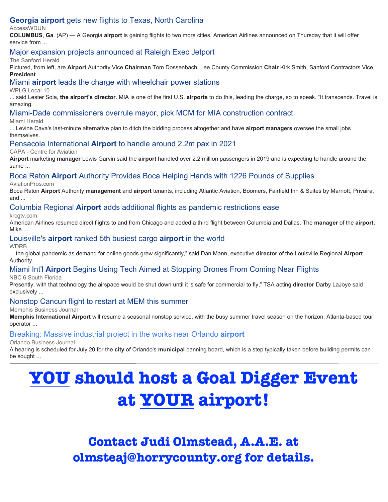# **[Georgia airport](https://www.google.com/url?rct=j&sa=t&url=https://accesswdun.com/article/2021/5/1001866&ct=ga&cd=CAEYASoUMTYyNjk2NjA1MTYzNzMzMTcwMDAyHGM3YmQ5ZjdhY2UzMWNjMWI6Y29tOmVuOlVTOlI&usg=AFQjCNFECB6iY4LUPyALMFkTo1-Q3YQswA)** [gets new flights to Texas, North Carolina](https://www.google.com/url?rct=j&sa=t&url=https://accesswdun.com/article/2021/5/1001866&ct=ga&cd=CAEYASoUMTYyNjk2NjA1MTYzNzMzMTcwMDAyHGM3YmQ5ZjdhY2UzMWNjMWI6Y29tOmVuOlVTOlI&usg=AFQjCNFECB6iY4LUPyALMFkTo1-Q3YQswA)

#### **AccessWDUN**

**COLUMBUS**, **Ga**. (AP) — A Georgia **airport** is gaining flights to two more cities. American Airlines announced on Thursday that it will offer service from ...

## [Major expansion projects announced at Raleigh Exec Jetport](https://www.google.com/url?rct=j&sa=t&url=https://www.sanfordherald.com/archives/major-expansion-projects-announced-at-raleigh-exec-jetport/article_e470c0da-3bb6-557e-85c1-6d371d2faab1.html&ct=ga&cd=CAEYASoTOTE1MzUyMDY0NDE5NTA3NTY2MjIcMTQ4MGYwY2FmOWIyMTEyZTpjb206ZW46VVM6Ug&usg=AFQjCNFpAaFvt41Ajx6-H4eziQlJKDRb9w)

#### The Sanford Herald

Pictured, from left, are **Airport** Authority Vice **Chairman** Tom Dossenbach, Lee County Commission **Chair** Kirk Smith, Sanford Contractors Vice **President** ...

[Miami](https://www.google.com/url?rct=j&sa=t&url=https://www.local10.com/news/local/2021/05/05/miami-airport-leads-the-charge-with-wheelchair-power-stations/&ct=ga&cd=CAEYEioTOTAzNDA2NjY0OTgzNzY2Njg1MTIcMTQ4MGYwY2FmOWIyMTEyZTpjb206ZW46VVM6Ug&usg=AFQjCNGYqsVNiGOVUBALKkQxeWOcu20s-A) **[airport](https://www.google.com/url?rct=j&sa=t&url=https://www.local10.com/news/local/2021/05/05/miami-airport-leads-the-charge-with-wheelchair-power-stations/&ct=ga&cd=CAEYEioTOTAzNDA2NjY0OTgzNzY2Njg1MTIcMTQ4MGYwY2FmOWIyMTEyZTpjb206ZW46VVM6Ug&usg=AFQjCNGYqsVNiGOVUBALKkQxeWOcu20s-A)** [leads the charge with wheelchair power stations](https://www.google.com/url?rct=j&sa=t&url=https://www.local10.com/news/local/2021/05/05/miami-airport-leads-the-charge-with-wheelchair-power-stations/&ct=ga&cd=CAEYEioTOTAzNDA2NjY0OTgzNzY2Njg1MTIcMTQ4MGYwY2FmOWIyMTEyZTpjb206ZW46VVM6Ug&usg=AFQjCNGYqsVNiGOVUBALKkQxeWOcu20s-A)

#### WPLG Local 10

... said Lester Sola, **the airport's director**. MIA is one of the first U.S. **airports** to do this, leading the charge, so to speak. "It transcends. Travel is amazing.

[Miami-Dade commissioners overrule mayor, pick MCM for MIA construction contract](https://www.google.com/url?rct=j&sa=t&url=https://www.miamiherald.com/news/local/community/miami-dade/article251170039.html&ct=ga&cd=CAEYEyoUMTA0MTQyNzc0MDU4NjYxMTQ4MzUyHDhlY2I2NzFkZWZlZDY4MWU6Y29tOmVuOlVTOlI&usg=AFQjCNFu5x_KxVNMkK8YaY9LqjG-UDkibA)

#### Miami Herald

... Levine Cava's last-minute alternative plan to ditch the bidding process altogether and have **airport managers** oversee the small jobs themselves.

#### [Pensacola International](https://www.google.com/url?rct=j&sa=t&url=https://centreforaviation.com/news/pensacola-international-airport-to-handle-around-22m-pax-in-2021-1066621&ct=ga&cd=CAEYHyoUMTA0MTQyNzc0MDU4NjYxMTQ4MzUyHDhlY2I2NzFkZWZlZDY4MWU6Y29tOmVuOlVTOlI&usg=AFQjCNF-AprpASmy3u_WK7WrWdCCSCE9bQ) **[Airport](https://www.google.com/url?rct=j&sa=t&url=https://centreforaviation.com/news/pensacola-international-airport-to-handle-around-22m-pax-in-2021-1066621&ct=ga&cd=CAEYHyoUMTA0MTQyNzc0MDU4NjYxMTQ4MzUyHDhlY2I2NzFkZWZlZDY4MWU6Y29tOmVuOlVTOlI&usg=AFQjCNF-AprpASmy3u_WK7WrWdCCSCE9bQ)** [to handle around 2.2m pax in 2021](https://www.google.com/url?rct=j&sa=t&url=https://centreforaviation.com/news/pensacola-international-airport-to-handle-around-22m-pax-in-2021-1066621&ct=ga&cd=CAEYHyoUMTA0MTQyNzc0MDU4NjYxMTQ4MzUyHDhlY2I2NzFkZWZlZDY4MWU6Y29tOmVuOlVTOlI&usg=AFQjCNF-AprpASmy3u_WK7WrWdCCSCE9bQ)

#### CAPA - Centre for Aviation

**Airport** marketing **manager** Lewis Garvin said the **airport** handled over 2.2 million passengers in 2019 and is expecting to handle around the same ...

#### [Boca Raton](https://www.google.com/url?rct=j&sa=t&url=https://www.aviationpros.com/airports/press-release/21221472/boca-raton-airport-authority-boca-raton-airport-authority-provides-boca-helping-hands-with-1226-pounds-of-supplies&ct=ga&cd=CAEYCioTOTAzNDA2NjY0OTgzNzY2Njg1MTIcMTQ4MGYwY2FmOWIyMTEyZTpjb206ZW46VVM6Ug&usg=AFQjCNFepbfm4K8Dup52Px3XiuqY78nFQg) **[Airport](https://www.google.com/url?rct=j&sa=t&url=https://www.aviationpros.com/airports/press-release/21221472/boca-raton-airport-authority-boca-raton-airport-authority-provides-boca-helping-hands-with-1226-pounds-of-supplies&ct=ga&cd=CAEYCioTOTAzNDA2NjY0OTgzNzY2Njg1MTIcMTQ4MGYwY2FmOWIyMTEyZTpjb206ZW46VVM6Ug&usg=AFQjCNFepbfm4K8Dup52Px3XiuqY78nFQg)** [Authority Provides Boca Helping Hands with 1226 Pounds of Supplies](https://www.google.com/url?rct=j&sa=t&url=https://www.aviationpros.com/airports/press-release/21221472/boca-raton-airport-authority-boca-raton-airport-authority-provides-boca-helping-hands-with-1226-pounds-of-supplies&ct=ga&cd=CAEYCioTOTAzNDA2NjY0OTgzNzY2Njg1MTIcMTQ4MGYwY2FmOWIyMTEyZTpjb206ZW46VVM6Ug&usg=AFQjCNFepbfm4K8Dup52Px3XiuqY78nFQg)

AviationPros.com

Boca Raton **Airport** Authority **management** and **airport** tenants, including Atlantic Aviation, Boomers, Fairfield Inn & Suites by Marriott, Privaira, and ...

#### [Columbia Regional](https://www.google.com/url?rct=j&sa=t&url=https://krcgtv.com/news/local/columbia-airport-adds-additional-flights-as-pandemic-restrictions-ease&ct=ga&cd=CAEYAioUMTA4NzA3NTkwODA2OTAwMTI2NTgyHDhlY2I2NzFkZWZlZDY4MWU6Y29tOmVuOlVTOlI&usg=AFQjCNHvzskQDrlCY9_R5uKfKt9FP7r3Vw) **[Airport](https://www.google.com/url?rct=j&sa=t&url=https://krcgtv.com/news/local/columbia-airport-adds-additional-flights-as-pandemic-restrictions-ease&ct=ga&cd=CAEYAioUMTA4NzA3NTkwODA2OTAwMTI2NTgyHDhlY2I2NzFkZWZlZDY4MWU6Y29tOmVuOlVTOlI&usg=AFQjCNHvzskQDrlCY9_R5uKfKt9FP7r3Vw)** [adds additional flights as pandemic restrictions ease](https://www.google.com/url?rct=j&sa=t&url=https://krcgtv.com/news/local/columbia-airport-adds-additional-flights-as-pandemic-restrictions-ease&ct=ga&cd=CAEYAioUMTA4NzA3NTkwODA2OTAwMTI2NTgyHDhlY2I2NzFkZWZlZDY4MWU6Y29tOmVuOlVTOlI&usg=AFQjCNHvzskQDrlCY9_R5uKfKt9FP7r3Vw)

#### krcgtv.com

American Airlines resumed direct flights to and from Chicago and added a third flight between Columbia and Dallas. The **manager** of the **airport**, Mike ...

#### [Louisville's](https://www.google.com/url?rct=j&sa=t&url=https://www.wdrb.com/news/louisvilles-airport-ranked-5th-busiest-cargo-airport-in-the-world/article_386cd9c8-aecc-11eb-98b8-2f0117dd0bff.html&ct=ga&cd=CAEYASoUMTczMjYzOTgyOTMyMTM3MDg2OTMyHDE0ODBmMGNhZjliMjExMmU6Y29tOmVuOlVTOlI&usg=AFQjCNGJfOH49_8NDRxNt2HUIwTs1tygZA) **[airport](https://www.google.com/url?rct=j&sa=t&url=https://www.wdrb.com/news/louisvilles-airport-ranked-5th-busiest-cargo-airport-in-the-world/article_386cd9c8-aecc-11eb-98b8-2f0117dd0bff.html&ct=ga&cd=CAEYASoUMTczMjYzOTgyOTMyMTM3MDg2OTMyHDE0ODBmMGNhZjliMjExMmU6Y29tOmVuOlVTOlI&usg=AFQjCNGJfOH49_8NDRxNt2HUIwTs1tygZA)** [ranked 5th busiest cargo](https://www.google.com/url?rct=j&sa=t&url=https://www.wdrb.com/news/louisvilles-airport-ranked-5th-busiest-cargo-airport-in-the-world/article_386cd9c8-aecc-11eb-98b8-2f0117dd0bff.html&ct=ga&cd=CAEYASoUMTczMjYzOTgyOTMyMTM3MDg2OTMyHDE0ODBmMGNhZjliMjExMmU6Y29tOmVuOlVTOlI&usg=AFQjCNGJfOH49_8NDRxNt2HUIwTs1tygZA) **[airport](https://www.google.com/url?rct=j&sa=t&url=https://www.wdrb.com/news/louisvilles-airport-ranked-5th-busiest-cargo-airport-in-the-world/article_386cd9c8-aecc-11eb-98b8-2f0117dd0bff.html&ct=ga&cd=CAEYASoUMTczMjYzOTgyOTMyMTM3MDg2OTMyHDE0ODBmMGNhZjliMjExMmU6Y29tOmVuOlVTOlI&usg=AFQjCNGJfOH49_8NDRxNt2HUIwTs1tygZA)** [in the world](https://www.google.com/url?rct=j&sa=t&url=https://www.wdrb.com/news/louisvilles-airport-ranked-5th-busiest-cargo-airport-in-the-world/article_386cd9c8-aecc-11eb-98b8-2f0117dd0bff.html&ct=ga&cd=CAEYASoUMTczMjYzOTgyOTMyMTM3MDg2OTMyHDE0ODBmMGNhZjliMjExMmU6Y29tOmVuOlVTOlI&usg=AFQjCNGJfOH49_8NDRxNt2HUIwTs1tygZA)

**WDRB** 

... the global pandemic as demand for online goods grew significantly," said Dan Mann, executive **director** of the Louisville Regional **Airport** Authority.

# [Miami Int'l](https://www.google.com/url?rct=j&sa=t&url=https://www.nbcmiami.com/news/local/miami-intl-airport-begins-using-tech-aimed-at-stopping-drones-from-coming-near-flights/2445827/&ct=ga&cd=CAEYASoTODI4NzI5NjM2ODQ4MTM2MjU4ODIcMTQ4MGYwY2FmOWIyMTEyZTpjb206ZW46VVM6Ug&usg=AFQjCNH010yE-jVL6Fl7tMZQGmw6BuSGFg) **[Airport](https://www.google.com/url?rct=j&sa=t&url=https://www.nbcmiami.com/news/local/miami-intl-airport-begins-using-tech-aimed-at-stopping-drones-from-coming-near-flights/2445827/&ct=ga&cd=CAEYASoTODI4NzI5NjM2ODQ4MTM2MjU4ODIcMTQ4MGYwY2FmOWIyMTEyZTpjb206ZW46VVM6Ug&usg=AFQjCNH010yE-jVL6Fl7tMZQGmw6BuSGFg)** [Begins Using Tech Aimed at Stopping Drones From Coming Near Flights](https://www.google.com/url?rct=j&sa=t&url=https://www.nbcmiami.com/news/local/miami-intl-airport-begins-using-tech-aimed-at-stopping-drones-from-coming-near-flights/2445827/&ct=ga&cd=CAEYASoTODI4NzI5NjM2ODQ4MTM2MjU4ODIcMTQ4MGYwY2FmOWIyMTEyZTpjb206ZW46VVM6Ug&usg=AFQjCNH010yE-jVL6Fl7tMZQGmw6BuSGFg)

NBC 6 South Florida

Presently, with that technology the airspace would be shut down until it 's safe for commercial to fly," TSA acting **director** Darby LaJoye said exclusively ...

#### [Nonstop Cancun flight to restart at MEM this summer](https://www.google.com/url?rct=j&sa=t&url=https://www.bizjournals.com/memphis/news/2021/05/07/nonstop-cancun-flight-mem-vacation-express.html&ct=ga&cd=CAEYACoTMjcyMjA1NjczMTU4MzA3Mzc0MzIaZTFlNTAyYzk3MmQ5NDVlYTpjb206ZW46VVM&usg=AFQjCNE7j0G266YqJtOVPma9E3BNDKWYDw)

Memphis Business Journal

**Memphis International Airport** will resume a seasonal nonstop service, with the busy summer travel season on the horizon. Atlanta-based tour operator ...

## [Breaking: Massive industrial project in the works near Orlando](https://www.google.com/url?rct=j&sa=t&url=https://www.bizjournals.com/orlando/news/2021/06/02/construction-industrial-florida-airport.html&ct=ga&cd=CAEYBCoUMTY1MDg2NzkyOTgzNDY3ODMxMzEyGjEyYzMwOTdlZDc1NDlmN2U6Y29tOmVuOlVT&usg=AFQjCNGrZ7nFZi-eRPT_VhpFWPPvqALXBQ) **[airport](https://www.google.com/url?rct=j&sa=t&url=https://www.bizjournals.com/orlando/news/2021/06/02/construction-industrial-florida-airport.html&ct=ga&cd=CAEYBCoUMTY1MDg2NzkyOTgzNDY3ODMxMzEyGjEyYzMwOTdlZDc1NDlmN2U6Y29tOmVuOlVT&usg=AFQjCNGrZ7nFZi-eRPT_VhpFWPPvqALXBQ)**

#### Orlando Business Journal

A hearing is scheduled for July 20 for the **city** of Orlando's **municipal** panning board, which is a step typically taken before building permits can be sought ...

# **YOU should host a Goal Digger Event at YOUR airport!**

**Contact Judi Olmstead, A.A.E. at olmsteaj@horrycounty.org for details.**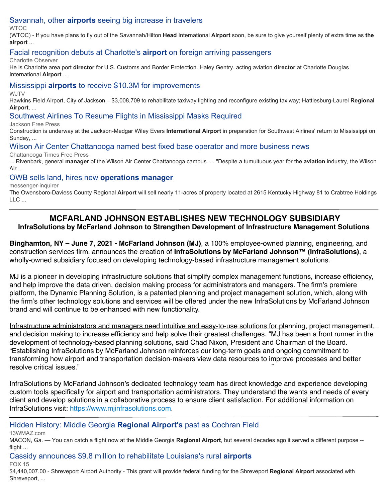# [Savannah, other](https://www.google.com/url?rct=j&sa=t&url=https://www.wtoc.com/2021/05/10/savannah-other-airports-seeing-big-increase-travelers/&ct=ga&cd=CAEYACoTNDg0NDAxNDU1MDg5NTQwMTE1MDIcMTQ4MGYwY2FmOWIyMTEyZTpjb206ZW46VVM6Ug&usg=AFQjCNEtB2p3hoc9vWgU2VeuCviWpBGtHQ) **[airports](https://www.google.com/url?rct=j&sa=t&url=https://www.wtoc.com/2021/05/10/savannah-other-airports-seeing-big-increase-travelers/&ct=ga&cd=CAEYACoTNDg0NDAxNDU1MDg5NTQwMTE1MDIcMTQ4MGYwY2FmOWIyMTEyZTpjb206ZW46VVM6Ug&usg=AFQjCNEtB2p3hoc9vWgU2VeuCviWpBGtHQ)** [seeing big increase in travelers](https://www.google.com/url?rct=j&sa=t&url=https://www.wtoc.com/2021/05/10/savannah-other-airports-seeing-big-increase-travelers/&ct=ga&cd=CAEYACoTNDg0NDAxNDU1MDg5NTQwMTE1MDIcMTQ4MGYwY2FmOWIyMTEyZTpjb206ZW46VVM6Ug&usg=AFQjCNEtB2p3hoc9vWgU2VeuCviWpBGtHQ)

WTOC

(WTOC) - If you have plans to fly out of the Savannah/Hilton **Head** International **Airport** soon, be sure to give yourself plenty of extra time as **the airport** ...

# [Facial recognition debuts at Charlotte's](https://www.google.com/url?rct=j&sa=t&url=https://www.charlotteobserver.com/news/local/article251429493.html&ct=ga&cd=CAEYACoTMTQ5NTgwODkzMzA2MDYyODA5NDIcMTQ4MGYwY2FmOWIyMTEyZTpjb206ZW46VVM6Ug&usg=AFQjCNGouKK8UMeYYW6M6CNF0CbO5O0K0w) **[airport](https://www.google.com/url?rct=j&sa=t&url=https://www.charlotteobserver.com/news/local/article251429493.html&ct=ga&cd=CAEYACoTMTQ5NTgwODkzMzA2MDYyODA5NDIcMTQ4MGYwY2FmOWIyMTEyZTpjb206ZW46VVM6Ug&usg=AFQjCNGouKK8UMeYYW6M6CNF0CbO5O0K0w)** [on foreign arriving passengers](https://www.google.com/url?rct=j&sa=t&url=https://www.charlotteobserver.com/news/local/article251429493.html&ct=ga&cd=CAEYACoTMTQ5NTgwODkzMzA2MDYyODA5NDIcMTQ4MGYwY2FmOWIyMTEyZTpjb206ZW46VVM6Ug&usg=AFQjCNGouKK8UMeYYW6M6CNF0CbO5O0K0w)

Charlotte Observer

He is Charlotte area port **director** for U.S. Customs and Border Protection. Haley Gentry. acting aviation **director** at Charlotte Douglas International **Airport** ...

# [Mississippi](https://www.google.com/url?rct=j&sa=t&url=https://www.wjtv.com/news/state-news/mississippi-airports-to-receive-10-3m-for-improvements/&ct=ga&cd=CAEYAioTNzEwODIxNjEwMDIzMDExNTc0MDIaMTJjMzA5N2VkNzU0OWY3ZTpjb206ZW46VVM&usg=AFQjCNEZ9kHhRUqORCsKL9SuaRul9cHS4A) **[airports](https://www.google.com/url?rct=j&sa=t&url=https://www.wjtv.com/news/state-news/mississippi-airports-to-receive-10-3m-for-improvements/&ct=ga&cd=CAEYAioTNzEwODIxNjEwMDIzMDExNTc0MDIaMTJjMzA5N2VkNzU0OWY3ZTpjb206ZW46VVM&usg=AFQjCNEZ9kHhRUqORCsKL9SuaRul9cHS4A)** [to receive \\$10.3M for improvements](https://www.google.com/url?rct=j&sa=t&url=https://www.wjtv.com/news/state-news/mississippi-airports-to-receive-10-3m-for-improvements/&ct=ga&cd=CAEYAioTNzEwODIxNjEwMDIzMDExNTc0MDIaMTJjMzA5N2VkNzU0OWY3ZTpjb206ZW46VVM&usg=AFQjCNEZ9kHhRUqORCsKL9SuaRul9cHS4A)

W.ITV

Hawkins Field Airport, City of Jackson – \$3,008,709 to rehabilitate taxiway lighting and reconfigure existing taxiway; Hattiesburg-Laurel **Regional Airport**, ...

# [Southwest Airlines To Resume Flights in Mississippi Masks Required](https://www.google.com/url?rct=j&sa=t&url=https://www.jacksonfreepress.com/news/2021/may/14/southwest-airlines-resume-flights-mississippi-june/&ct=ga&cd=CAEYCioTNzEwODIxNjEwMDIzMDExNTc0MDIaMTJjMzA5N2VkNzU0OWY3ZTpjb206ZW46VVM&usg=AFQjCNGcJu2xJyhGSdVUNccDOKRjQotQYA)

Jackson Free Press

Construction is underway at the Jackson-Medgar Wiley Evers **International Airport** in preparation for Southwest Airlines' return to Mississippi on Sunday, ...

## [Wilson Air Center Chattanooga named best fixed base operator and more business news](https://www.google.com/url?rct=j&sa=t&url=https://www.timesfreepress.com/news/business/aroundregion/story/2021/may/17/wilsair-named-best-fixed-base-operator/547040/&ct=ga&cd=CAEYACoUMTQ5NjMyOTU0NDM1MDM1MDEzMDAyHDhlY2I2NzFkZWZlZDY4MWU6Y29tOmVuOlVTOlI&usg=AFQjCNGgVb09X0OPiNq0_rfCSoCj1rTk5w)

Chattanooga Times Free Press

... Rivenbark, general **manager** of the Wilson Air Center Chattanooga campus. ... "Despite a tumultuous year for the **aviation** industry, the Wilson Air ...

# [OWB sells land, hires new](https://www.google.com/url?rct=j&sa=t&url=https://www.messenger-inquirer.com/community/owb-sells-land-hires-new-operations-manager/article_75e3c766-d00e-56b9-8f64-48d5f6fb7d70.html&ct=ga&cd=CAEYACoUMTI0Mzc1MTAxNjM3NjYwMDc3OTgyHDhlY2I2NzFkZWZlZDY4MWU6Y29tOmVuOlVTOlI&usg=AFQjCNEKe4rKT_Ows_X3iYR9tbkmMZgKHQ) **[operations manager](https://www.google.com/url?rct=j&sa=t&url=https://www.messenger-inquirer.com/community/owb-sells-land-hires-new-operations-manager/article_75e3c766-d00e-56b9-8f64-48d5f6fb7d70.html&ct=ga&cd=CAEYACoUMTI0Mzc1MTAxNjM3NjYwMDc3OTgyHDhlY2I2NzFkZWZlZDY4MWU6Y29tOmVuOlVTOlI&usg=AFQjCNEKe4rKT_Ows_X3iYR9tbkmMZgKHQ)**

messenger-inquirer

The Owensboro-Daviess County Regional **Airport** will sell nearly 11-acres of property located at 2615 Kentucky Highway 81 to Crabtree Holdings LLC ...

# **MCFARLAND JOHNSON ESTABLISHES NEW TECHNOLOGY SUBSIDIARY**

**InfraSolutions by McFarland Johnson to Strengthen Development of Infrastructure Management Solutions** 

**Binghamton, NY – June 7, 2021 - McFarland Johnson (MJ)**, a 100% employee-owned planning, engineering, and construction services firm, announces the creation of **InfraSolutions by McFarland Johnson™ (InfraSolutions)**, a wholly-owned subsidiary focused on developing technology-based infrastructure management solutions.

MJ is a pioneer in developing infrastructure solutions that simplify complex management functions, increase efficiency, and help improve the data driven, decision making process for administrators and managers. The firm's premiere platform, the Dynamic Planning Solution, is a patented planning and project management solution, which, along with the firm's other technology solutions and services will be offered under the new InfraSolutions by McFarland Johnson brand and will continue to be enhanced with new functionality.

Infrastructure administrators and managers need intuitive and easy-to-use solutions for planning, project management, and decision making to increase efficiency and help solve their greatest challenges. "MJ has been a front runner in the development of technology-based planning solutions, said Chad Nixon, President and Chairman of the Board. "Establishing InfraSolutions by McFarland Johnson reinforces our long-term goals and ongoing commitment to transforming how airport and transportation decision-makers view data resources to improve processes and better resolve critical issues."

InfraSolutions by McFarland Johnson's dedicated technology team has direct knowledge and experience developing custom tools specifically for airport and transportation administrators. They understand the wants and needs of every client and develop solutions in a collaborative process to ensure client satisfaction. For additional information on InfraSolutions visit: https://www.mjinfrasolutions.com.

[Hidden History: Middle Georgia](https://www.google.com/url?rct=j&sa=t&url=https://www.13wmaz.com/article/news/local/hidden-history-middle-georgia-regional-airport/93-425e235d-4c24-42da-a79f-9e5ae7e35e9c&ct=ga&cd=CAEYASoUMTM1OTc5NzIyNjg3NTM3MTIwNDIyGjEyYzMwOTdlZDc1NDlmN2U6Y29tOmVuOlVT&usg=AFQjCNGflENpHQ7VYe_9H1DHd1-WSl0VNA) **[Regional Airport's](https://www.google.com/url?rct=j&sa=t&url=https://www.13wmaz.com/article/news/local/hidden-history-middle-georgia-regional-airport/93-425e235d-4c24-42da-a79f-9e5ae7e35e9c&ct=ga&cd=CAEYASoUMTM1OTc5NzIyNjg3NTM3MTIwNDIyGjEyYzMwOTdlZDc1NDlmN2U6Y29tOmVuOlVT&usg=AFQjCNGflENpHQ7VYe_9H1DHd1-WSl0VNA)** [past as Cochran Field](https://www.google.com/url?rct=j&sa=t&url=https://www.13wmaz.com/article/news/local/hidden-history-middle-georgia-regional-airport/93-425e235d-4c24-42da-a79f-9e5ae7e35e9c&ct=ga&cd=CAEYASoUMTM1OTc5NzIyNjg3NTM3MTIwNDIyGjEyYzMwOTdlZDc1NDlmN2U6Y29tOmVuOlVT&usg=AFQjCNGflENpHQ7VYe_9H1DHd1-WSl0VNA)

13WMAZ.com

MACON, Ga. — You can catch a flight now at the Middle Georgia **Regional Airport**, but several decades ago it served a different purpose - flight ...

[Cassidy announces \\$9.8 million to rehabilitate Louisiana's rural](https://www.google.com/url?rct=j&sa=t&url=https://www.kadn.com/content/news/Cassidy-Announces-98-Million-to-Rehabilitate-Louisianas-Rural-Airports-574439381.html&ct=ga&cd=CAEYByoUMTM1OTc5NzIyNjg3NTM3MTIwNDIyGjEyYzMwOTdlZDc1NDlmN2U6Y29tOmVuOlVT&usg=AFQjCNGJqo_xuzhxWxD6uK7wkVDPcgofxA) **[airports](https://www.google.com/url?rct=j&sa=t&url=https://www.kadn.com/content/news/Cassidy-Announces-98-Million-to-Rehabilitate-Louisianas-Rural-Airports-574439381.html&ct=ga&cd=CAEYByoUMTM1OTc5NzIyNjg3NTM3MTIwNDIyGjEyYzMwOTdlZDc1NDlmN2U6Y29tOmVuOlVT&usg=AFQjCNGJqo_xuzhxWxD6uK7wkVDPcgofxA)** FOX 15

\$4,440,007.00 - Shreveport Airport Authority - This grant will provide federal funding for the Shreveport **Regional Airport** associated with Shreveport, ...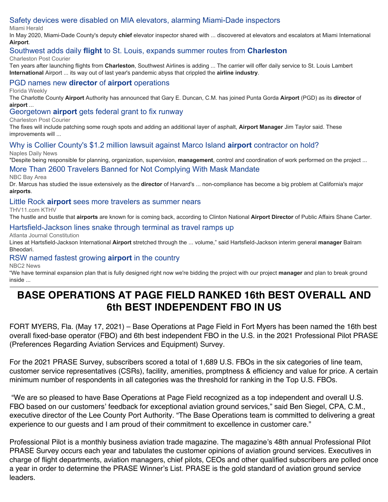# [Safety devices were disabled on MIA elevators, alarming Miami-Dade inspectors](https://www.google.com/url?rct=j&sa=t&url=https://www.miamiherald.com/news/local/community/miami-dade/article251329318.html&ct=ga&cd=CAEYACoUMTIzMDQ5NTI5ODgxNzIyMjY2NjYyHDE0ODBmMGNhZjliMjExMmU6Y29tOmVuOlVTOlI&usg=AFQjCNG5j4QaEGn0g-nIdCsXdpNCN6vI7g)

Miami Herald

In May 2020, Miami-Dade County's deputy **chief** elevator inspector shared with ... discovered at elevators and escalators at Miami International **Airport**.

# [Southwest adds daily](https://www.google.com/url?rct=j&sa=t&url=https://www.postandcourier.com/business/southwest-adds-daily-flight-to-st-louis-expands-summer-routes-from-charleston/article_ead28128-b1d1-11eb-98dc-23f8d705cb39.html&ct=ga&cd=CAEYACoTODQ0NjAxMzc4NDI5MDMyNDA5NjIaMzI2OGY1ZmNkNjQ2MjMyYzpjb206ZW46VVM&usg=AFQjCNHW4AO4NUD8ymws25AyDEvYNMC4nA) **[flight](https://www.google.com/url?rct=j&sa=t&url=https://www.postandcourier.com/business/southwest-adds-daily-flight-to-st-louis-expands-summer-routes-from-charleston/article_ead28128-b1d1-11eb-98dc-23f8d705cb39.html&ct=ga&cd=CAEYACoTODQ0NjAxMzc4NDI5MDMyNDA5NjIaMzI2OGY1ZmNkNjQ2MjMyYzpjb206ZW46VVM&usg=AFQjCNHW4AO4NUD8ymws25AyDEvYNMC4nA)** [to St. Louis, expands summer routes from](https://www.google.com/url?rct=j&sa=t&url=https://www.postandcourier.com/business/southwest-adds-daily-flight-to-st-louis-expands-summer-routes-from-charleston/article_ead28128-b1d1-11eb-98dc-23f8d705cb39.html&ct=ga&cd=CAEYACoTODQ0NjAxMzc4NDI5MDMyNDA5NjIaMzI2OGY1ZmNkNjQ2MjMyYzpjb206ZW46VVM&usg=AFQjCNHW4AO4NUD8ymws25AyDEvYNMC4nA) **[Charleston](https://www.google.com/url?rct=j&sa=t&url=https://www.postandcourier.com/business/southwest-adds-daily-flight-to-st-louis-expands-summer-routes-from-charleston/article_ead28128-b1d1-11eb-98dc-23f8d705cb39.html&ct=ga&cd=CAEYACoTODQ0NjAxMzc4NDI5MDMyNDA5NjIaMzI2OGY1ZmNkNjQ2MjMyYzpjb206ZW46VVM&usg=AFQjCNHW4AO4NUD8ymws25AyDEvYNMC4nA)**

Charleston Post Courier

Ten years after launching flights from **Charleston**, Southwest Airlines is adding ... The carrier will offer daily service to St. Louis Lambert **International** Airport ... its way out of last year's pandemic abyss that crippled the **airline industry**.

# [PGD names new](https://www.google.com/url?rct=j&sa=t&url=https://charlottecounty.floridaweekly.com/articles/pgd-names-new-director-of-airport-operations/&ct=ga&cd=CAEYACoUMTQwMjAyODY1Mzc3MzY0MTQzNzEyHDE0ODBmMGNhZjliMjExMmU6Y29tOmVuOlVTOlI&usg=AFQjCNHqze_MYQ693PS774JgukDvPCklJQ) **[director](https://www.google.com/url?rct=j&sa=t&url=https://charlottecounty.floridaweekly.com/articles/pgd-names-new-director-of-airport-operations/&ct=ga&cd=CAEYACoUMTQwMjAyODY1Mzc3MzY0MTQzNzEyHDE0ODBmMGNhZjliMjExMmU6Y29tOmVuOlVTOlI&usg=AFQjCNHqze_MYQ693PS774JgukDvPCklJQ)** [of](https://www.google.com/url?rct=j&sa=t&url=https://charlottecounty.floridaweekly.com/articles/pgd-names-new-director-of-airport-operations/&ct=ga&cd=CAEYACoUMTQwMjAyODY1Mzc3MzY0MTQzNzEyHDE0ODBmMGNhZjliMjExMmU6Y29tOmVuOlVTOlI&usg=AFQjCNHqze_MYQ693PS774JgukDvPCklJQ) **[airport](https://www.google.com/url?rct=j&sa=t&url=https://charlottecounty.floridaweekly.com/articles/pgd-names-new-director-of-airport-operations/&ct=ga&cd=CAEYACoUMTQwMjAyODY1Mzc3MzY0MTQzNzEyHDE0ODBmMGNhZjliMjExMmU6Y29tOmVuOlVTOlI&usg=AFQjCNHqze_MYQ693PS774JgukDvPCklJQ)** [operations](https://www.google.com/url?rct=j&sa=t&url=https://charlottecounty.floridaweekly.com/articles/pgd-names-new-director-of-airport-operations/&ct=ga&cd=CAEYACoUMTQwMjAyODY1Mzc3MzY0MTQzNzEyHDE0ODBmMGNhZjliMjExMmU6Y29tOmVuOlVTOlI&usg=AFQjCNHqze_MYQ693PS774JgukDvPCklJQ)

Florida Weekly

The Charlotte County **Airport** Authority has announced that Gary E. Duncan, C.M. has joined Punta Gorda **Airport** (PGD) as its **director** of **airport** ...

# [Georgetown](https://www.google.com/url?rct=j&sa=t&url=https://www.postandcourier.com/georgetown/georgetown-airport-gets-federal-grant-to-fix-runway/article_819011f0-b418-11eb-b998-2fb27eeb5828.html&ct=ga&cd=CAEYASoTOTAwMzA5ODYyMzI4Mzg1OTkwOTIcOGVjYjY3MWRlZmVkNjgxZTpjb206ZW46VVM6Ug&usg=AFQjCNFeSW0z7U-VNif7_hHLe33DCJRr3A) **[airport](https://www.google.com/url?rct=j&sa=t&url=https://www.postandcourier.com/georgetown/georgetown-airport-gets-federal-grant-to-fix-runway/article_819011f0-b418-11eb-b998-2fb27eeb5828.html&ct=ga&cd=CAEYASoTOTAwMzA5ODYyMzI4Mzg1OTkwOTIcOGVjYjY3MWRlZmVkNjgxZTpjb206ZW46VVM6Ug&usg=AFQjCNFeSW0z7U-VNif7_hHLe33DCJRr3A)** [gets federal grant to fix runway](https://www.google.com/url?rct=j&sa=t&url=https://www.postandcourier.com/georgetown/georgetown-airport-gets-federal-grant-to-fix-runway/article_819011f0-b418-11eb-b998-2fb27eeb5828.html&ct=ga&cd=CAEYASoTOTAwMzA5ODYyMzI4Mzg1OTkwOTIcOGVjYjY3MWRlZmVkNjgxZTpjb206ZW46VVM6Ug&usg=AFQjCNFeSW0z7U-VNif7_hHLe33DCJRr3A)

Charleston Post Courier

The fixes will include patching some rough spots and adding an additional layer of asphalt, **Airport Manager** Jim Taylor said. These improvements will ...

#### [Why is Collier County's \\$1.2 million lawsuit against Marco Island](https://www.google.com/url?rct=j&sa=t&url=https://www.naplesnews.com/story/news/local/2021/05/13/marco-island-airport-lawsuit-paused-collier-agrees-negotiate/5062367001/&ct=ga&cd=CAEYACoTOTAwMzA5ODYyMzI4Mzg1OTkwOTIcOGVjYjY3MWRlZmVkNjgxZTpjb206ZW46VVM6Ug&usg=AFQjCNHXgaXTN44o8YyWVlFxhnH2xLPgbg) **[airport](https://www.google.com/url?rct=j&sa=t&url=https://www.naplesnews.com/story/news/local/2021/05/13/marco-island-airport-lawsuit-paused-collier-agrees-negotiate/5062367001/&ct=ga&cd=CAEYACoTOTAwMzA5ODYyMzI4Mzg1OTkwOTIcOGVjYjY3MWRlZmVkNjgxZTpjb206ZW46VVM6Ug&usg=AFQjCNHXgaXTN44o8YyWVlFxhnH2xLPgbg)** [contractor on hold?](https://www.google.com/url?rct=j&sa=t&url=https://www.naplesnews.com/story/news/local/2021/05/13/marco-island-airport-lawsuit-paused-collier-agrees-negotiate/5062367001/&ct=ga&cd=CAEYACoTOTAwMzA5ODYyMzI4Mzg1OTkwOTIcOGVjYjY3MWRlZmVkNjgxZTpjb206ZW46VVM6Ug&usg=AFQjCNHXgaXTN44o8YyWVlFxhnH2xLPgbg) Naples Daily News

"Despite being responsible for planning, organization, supervision, **management**, control and coordination of work performed on the project ...

# [More Than 2600 Travelers Banned for Not Complying With Mask Mandate](https://www.google.com/url?rct=j&sa=t&url=https://www.nbcbayarea.com/investigations/more-than-2600-travelers-banned-by-airlines-for-refusing-to-comply-with-mask-mandate/2544189/&ct=ga&cd=CAEYASoTODUyNzE3MTQ4MTczMzUxMjgzNjIcMTQ4MGYwY2FmOWIyMTEyZTpjb206ZW46VVM6Ug&usg=AFQjCNH_0zZfHFkcbcYZ68biVpIzR2x2Jw)

NBC Bay Area

Dr. Marcus has studied the issue extensively as the **director** of Harvard's ... non-compliance has become a big problem at California's major **airports**.

# [Little Rock](https://www.google.com/url?rct=j&sa=t&url=https://www.thv11.com/article/news/little-rock-airport-sees-more-travelers/91-e813f2a3-b405-4b64-9ddd-adb659ad35d1&ct=ga&cd=CAEYACoUMTM4Nzc4NTQ1MDM1OTkxMjQ1NDQyHDE0ODBmMGNhZjliMjExMmU6Y29tOmVuOlVTOlI&usg=AFQjCNHbFAiV6T82B72kr8yWoetGqdFogg) **[airport](https://www.google.com/url?rct=j&sa=t&url=https://www.thv11.com/article/news/little-rock-airport-sees-more-travelers/91-e813f2a3-b405-4b64-9ddd-adb659ad35d1&ct=ga&cd=CAEYACoUMTM4Nzc4NTQ1MDM1OTkxMjQ1NDQyHDE0ODBmMGNhZjliMjExMmU6Y29tOmVuOlVTOlI&usg=AFQjCNHbFAiV6T82B72kr8yWoetGqdFogg)** [sees more travelers as summer nears](https://www.google.com/url?rct=j&sa=t&url=https://www.thv11.com/article/news/little-rock-airport-sees-more-travelers/91-e813f2a3-b405-4b64-9ddd-adb659ad35d1&ct=ga&cd=CAEYACoUMTM4Nzc4NTQ1MDM1OTkxMjQ1NDQyHDE0ODBmMGNhZjliMjExMmU6Y29tOmVuOlVTOlI&usg=AFQjCNHbFAiV6T82B72kr8yWoetGqdFogg)

THV11.com KTHV

The hustle and bustle that **airports** are known for is coming back, according to Clinton National **Airport Director** of Public Affairs Shane Carter.

## [Hartsfield-Jackson lines snake through terminal as travel ramps up](https://www.google.com/url?rct=j&sa=t&url=https://www.ajc.com/news/business/hartsfield-jackson-lines-snake-through-terminal-as-travel-ramps-up/7RS6XWV4HFACPIP4PXJQQP6OFQ/&ct=ga&cd=CAEYAyoUMTczMTIzNTYwODkyNTY4Mjk4MDcyHDhlY2I2NzFkZWZlZDY4MWU6Y29tOmVuOlVTOlI&usg=AFQjCNEgQ44zlrGiJp8UqeyZjW_2rwIzGw)

Atlanta Journal Constitution

Lines at Hartsfield-Jackson International **Airport** stretched through the ... volume," said Hartsfield-Jackson interim general **manager** Balram Bheodari.

# [RSW named fastest growing](https://www.google.com/url?rct=j&sa=t&url=https://nbc-2.com/top-news/2021/05/11/rsw-named-fastest-growing-airport-in-the-country/&ct=ga&cd=CAEYAioTMTE0MDU5MTgwMDM3MzUyMjUzODIcOGVjYjY3MWRlZmVkNjgxZTpjb206ZW46VVM6Ug&usg=AFQjCNHvp5gyJOxXWrOogFYoP2ctGU5zDA) **[airport](https://www.google.com/url?rct=j&sa=t&url=https://nbc-2.com/top-news/2021/05/11/rsw-named-fastest-growing-airport-in-the-country/&ct=ga&cd=CAEYAioTMTE0MDU5MTgwMDM3MzUyMjUzODIcOGVjYjY3MWRlZmVkNjgxZTpjb206ZW46VVM6Ug&usg=AFQjCNHvp5gyJOxXWrOogFYoP2ctGU5zDA)** [in the country](https://www.google.com/url?rct=j&sa=t&url=https://nbc-2.com/top-news/2021/05/11/rsw-named-fastest-growing-airport-in-the-country/&ct=ga&cd=CAEYAioTMTE0MDU5MTgwMDM3MzUyMjUzODIcOGVjYjY3MWRlZmVkNjgxZTpjb206ZW46VVM6Ug&usg=AFQjCNHvp5gyJOxXWrOogFYoP2ctGU5zDA)

NBC2 News

"We have terminal expansion plan that is fully designed right now we're bidding the project with our project **manager** and plan to break ground inside ...

# **BASE OPERATIONS AT PAGE FIELD RANKED 16th BEST OVERALL AND 6th BEST INDEPENDENT FBO IN US**

FORT MYERS, Fla. (May 17, 2021) – Base Operations at Page Field in Fort Myers has been named the 16th best overall fixed-base operator (FBO) and 6th best independent FBO in the U.S. in the 2021 Professional Pilot PRASE (Preferences Regarding Aviation Services and Equipment) Survey.

For the 2021 PRASE Survey, subscribers scored a total of 1,689 U.S. FBOs in the six categories of line team, customer service representatives (CSRs), facility, amenities, promptness & efficiency and value for price. A certain minimum number of respondents in all categories was the threshold for ranking in the Top U.S. FBOs.

"We are so pleased to have Base Operations at Page Field recognized as a top independent and overall U.S. FBO based on our customers' feedback for exceptional aviation ground services," said Ben Siegel, CPA, C.M., executive director of the Lee County Port Authority. "The Base Operations team is committed to delivering a great experience to our guests and I am proud of their commitment to excellence in customer care."

Professional Pilot is a monthly business aviation trade magazine. The magazine's 48th annual Professional Pilot PRASE Survey occurs each year and tabulates the customer opinions of aviation ground services. Executives in charge of flight departments, aviation managers, chief pilots, CEOs and other qualified subscribers are polled once a year in order to determine the PRASE Winner's List. PRASE is the gold standard of aviation ground service leaders.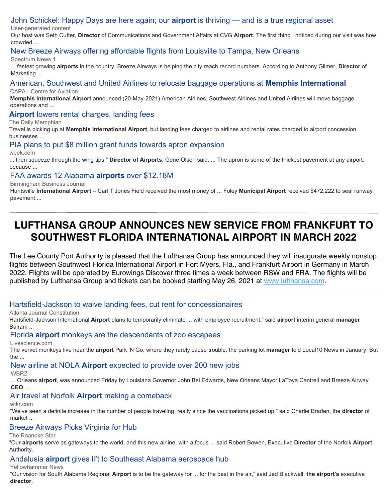# [John Schickel: Happy Days are here again; our](https://www.google.com/url?rct=j&sa=t&url=https://www.nkytribune.com/2021/05/john-schickel-happy-days-are-here-again-our-airport-is-thriving-and-is-a-true-regional-asset/&ct=ga&cd=CAEYACoTODkzMTcwNTc5NDQ2MzU5Mjk5NzIcMTQ4MGYwY2FmOWIyMTEyZTpjb206ZW46VVM6Ug&usg=AFQjCNGgYM0p697gjMRRr4zGSdup7Os28A) **[airport](https://www.google.com/url?rct=j&sa=t&url=https://www.nkytribune.com/2021/05/john-schickel-happy-days-are-here-again-our-airport-is-thriving-and-is-a-true-regional-asset/&ct=ga&cd=CAEYACoTODkzMTcwNTc5NDQ2MzU5Mjk5NzIcMTQ4MGYwY2FmOWIyMTEyZTpjb206ZW46VVM6Ug&usg=AFQjCNGgYM0p697gjMRRr4zGSdup7Os28A)** [is thriving — and is a true regional asset](https://www.google.com/url?rct=j&sa=t&url=https://www.nkytribune.com/2021/05/john-schickel-happy-days-are-here-again-our-airport-is-thriving-and-is-a-true-regional-asset/&ct=ga&cd=CAEYACoTODkzMTcwNTc5NDQ2MzU5Mjk5NzIcMTQ4MGYwY2FmOWIyMTEyZTpjb206ZW46VVM6Ug&usg=AFQjCNGgYM0p697gjMRRr4zGSdup7Os28A)

User-generated content

Our host was Seth Cutter, **Director** of Communications and Government Affairs at CVG **Airport**. The first thing I noticed during our visit was how crowded ...

#### [New Breeze Airways offering affordable flights from Louisville to Tampa, New Orleans](https://www.google.com/url?rct=j&sa=t&url=https://spectrumnews1.com/stories/2021/05/21/b/breeze-airways-louisville-flights-sdf-airport&ct=ga&cd=CAEYACoUMTQ0NzY4NzAxODQzMTk4NzAxNzMyHDE0ODBmMGNhZjliMjExMmU6Y29tOmVuOlVTOlI&usg=AFQjCNF5mUajTh8CWgRhKl2Mi6pDmY8ezg)

#### Spectrum News 1

... fastest growing **airports** in the country, Breeze Airways is helping the city reach record numbers. According to Anthony Gilmer, **Director** of Marketing ...

#### [American, Southwest and United Airlines to relocate baggage operations at](https://www.google.com/url?rct=j&sa=t&url=https://centreforaviation.com/news/american-southwest-and-united-airlines-to-relocate-baggage-operations-at-memphis-international-1069616&ct=ga&cd=CAEYAyoTNTU0NjQwMTI4MTc1MDYwMjA5NjIaZTFlNTAyYzk3MmQ5NDVlYTpjb206ZW46VVM&usg=AFQjCNEjxhjPck2itZJ0y27UwmTGdBr6ww) **[Memphis International](https://www.google.com/url?rct=j&sa=t&url=https://centreforaviation.com/news/american-southwest-and-united-airlines-to-relocate-baggage-operations-at-memphis-international-1069616&ct=ga&cd=CAEYAyoTNTU0NjQwMTI4MTc1MDYwMjA5NjIaZTFlNTAyYzk3MmQ5NDVlYTpjb206ZW46VVM&usg=AFQjCNEjxhjPck2itZJ0y27UwmTGdBr6ww)** CAPA - Centre for Aviation

**Memphis International Airport** announced (20-May-2021) American Airlines, Southwest Airlines and United Airlines will move baggage operations and ...

#### **[Airport](https://www.google.com/url?rct=j&sa=t&url=https://dailymemphian.com/section/business/article/22085/memphis-airport-lowers-rental-and-landing-fees&ct=ga&cd=CAEYAioTNTU0NjQwMTI4MTc1MDYwMjA5NjIaZTFlNTAyYzk3MmQ5NDVlYTpjb206ZW46VVM&usg=AFQjCNFuYHF6Dhtvj0C73GqQ_i7uJuByMQ)** [lowers rental charges, landing fees](https://www.google.com/url?rct=j&sa=t&url=https://dailymemphian.com/section/business/article/22085/memphis-airport-lowers-rental-and-landing-fees&ct=ga&cd=CAEYAioTNTU0NjQwMTI4MTc1MDYwMjA5NjIaZTFlNTAyYzk3MmQ5NDVlYTpjb206ZW46VVM&usg=AFQjCNFuYHF6Dhtvj0C73GqQ_i7uJuByMQ)

The Daily Memphian

Travel is picking up at **Memphis International Airport**, but landing fees charged to airlines and rental rates charged to airport concession businesses ...

## [PIA plans to put \\$8 million grant funds towards apron expansion](https://www.google.com/url?rct=j&sa=t&url=https://week.com/2021/05/20/pia-plans-to-put-8-million-grant-funds-towards-apron-expansion/&ct=ga&cd=CAEYACoTMjY0OTE3MDc2MDA0MjUyODI3MDIcMTQ4MGYwY2FmOWIyMTEyZTpjb206ZW46VVM6Ug&usg=AFQjCNGtNeLnDI-Pf2AE5MGB4mRBfAx2UQ)

week.com

... then squeeze through the wing tips," **Director of Airports**, Gene Olson said. ... The apron is some of the thickest pavement at any airport, because ...

#### [FAA awards 12 Alabama](https://www.google.com/url?rct=j&sa=t&url=https://www.bizjournals.com/birmingham/news/2021/05/18/faa-awards-12-alabama-airports-over-12-18m.html&ct=ga&cd=CAEYCSoUMTM1OTc5NzIyNjg3NTM3MTIwNDIyGjEyYzMwOTdlZDc1NDlmN2U6Y29tOmVuOlVT&usg=AFQjCNGlUnEGwAIIWmdj7QQ3pfRu0URFGg) **[airports](https://www.google.com/url?rct=j&sa=t&url=https://www.bizjournals.com/birmingham/news/2021/05/18/faa-awards-12-alabama-airports-over-12-18m.html&ct=ga&cd=CAEYCSoUMTM1OTc5NzIyNjg3NTM3MTIwNDIyGjEyYzMwOTdlZDc1NDlmN2U6Y29tOmVuOlVT&usg=AFQjCNGlUnEGwAIIWmdj7QQ3pfRu0URFGg)** [over \\$12.18M](https://www.google.com/url?rct=j&sa=t&url=https://www.bizjournals.com/birmingham/news/2021/05/18/faa-awards-12-alabama-airports-over-12-18m.html&ct=ga&cd=CAEYCSoUMTM1OTc5NzIyNjg3NTM3MTIwNDIyGjEyYzMwOTdlZDc1NDlmN2U6Y29tOmVuOlVT&usg=AFQjCNGlUnEGwAIIWmdj7QQ3pfRu0URFGg)

Birmingham Business Journal

Huntsville **International Airport** – Carl T Jones Field received the most money of ... Foley **Municipal Airport** received \$472,222 to seal runway pavement ...

# **LUFTHANSA GROUP ANNOUNCES NEW SERVICE FROM FRANKFURT TO SOUTHWEST FLORIDA INTERNATIONAL AIRPORT IN MARCH 2022**

The Lee County Port Authority is pleased that the Lufthansa Group has announced they will inaugurate weekly nonstop flights between Southwest Florida International Airport in Fort Myers, Fla., and Frankfurt Airport in Germany in March 2022. Flights will be operated by Eurowings Discover three times a week between RSW and FRA. The flights will be published by Lufthansa Group and tickets can be booked starting May 26, 2021 at [www.lufthansa.com](http://www.lufthansa.com/).

## [Hartsfield-Jackson to waive landing fees, cut rent for concessionaires](https://www.google.com/url?rct=j&sa=t&url=https://www.ajc.com/news/business/hartsfield-jackson-to-waive-landing-fees-cut-rent-for-concessionaires/FYZZGIZBGZA3NDGQWCX3ARMQTQ/&ct=ga&cd=CAEYACoTNDk3Njc0MTA3NTk0MTYwNzIxMTIcOGVjYjY3MWRlZmVkNjgxZTpjb206ZW46VVM6Ug&usg=AFQjCNGdVgnjzvtZBPUpaOzI0JO4Nk1I2Q)

Atlanta Journal Constitution

Hartsfield-Jackson International **Airport** plans to temporarily eliminate ... with employee recruitment," said **airport** interim general **manager** Balram ...

#### [Florida](https://www.google.com/url?rct=j&sa=t&url=https://www.livescience.com/african-monkeys-florida-zoo-escapees.html&ct=ga&cd=CAEYASoTODUyNzI0ODE3NDgxMDI4MjY3MzIcOGVjYjY3MWRlZmVkNjgxZTpjb206ZW46VVM6Ug&usg=AFQjCNElJnxZymXFjFIDlPs5lyeZK0knuw) **[airport](https://www.google.com/url?rct=j&sa=t&url=https://www.livescience.com/african-monkeys-florida-zoo-escapees.html&ct=ga&cd=CAEYASoTODUyNzI0ODE3NDgxMDI4MjY3MzIcOGVjYjY3MWRlZmVkNjgxZTpjb206ZW46VVM6Ug&usg=AFQjCNElJnxZymXFjFIDlPs5lyeZK0knuw)** [monkeys are the descendants of zoo escapees](https://www.google.com/url?rct=j&sa=t&url=https://www.livescience.com/african-monkeys-florida-zoo-escapees.html&ct=ga&cd=CAEYASoTODUyNzI0ODE3NDgxMDI4MjY3MzIcOGVjYjY3MWRlZmVkNjgxZTpjb206ZW46VVM6Ug&usg=AFQjCNElJnxZymXFjFIDlPs5lyeZK0knuw)

#### Livescience.com

The vervet monkeys live near the **airport** Park 'N Go, where they rarely cause trouble, the parking lot **manager** told Local10 News in January. But the ...

# [New airline at NOLA](https://www.google.com/url?rct=j&sa=t&url=https://www.wbrz.com/news/new-airline-at-nola-airport-expected-to-provide-over-200-new-jobs/&ct=ga&cd=CAEYAioUMTYyNjkzODc0MTIwOTc1OTA1NjQyHDE0ODBmMGNhZjliMjExMmU6Y29tOmVuOlVTOlI&usg=AFQjCNGngPhBUNHaVOHRN_miM7DTzUdwEw) **[Airport](https://www.google.com/url?rct=j&sa=t&url=https://www.wbrz.com/news/new-airline-at-nola-airport-expected-to-provide-over-200-new-jobs/&ct=ga&cd=CAEYAioUMTYyNjkzODc0MTIwOTc1OTA1NjQyHDE0ODBmMGNhZjliMjExMmU6Y29tOmVuOlVTOlI&usg=AFQjCNGngPhBUNHaVOHRN_miM7DTzUdwEw)** [expected to provide over 200 new jobs](https://www.google.com/url?rct=j&sa=t&url=https://www.wbrz.com/news/new-airline-at-nola-airport-expected-to-provide-over-200-new-jobs/&ct=ga&cd=CAEYAioUMTYyNjkzODc0MTIwOTc1OTA1NjQyHDE0ODBmMGNhZjliMjExMmU6Y29tOmVuOlVTOlI&usg=AFQjCNGngPhBUNHaVOHRN_miM7DTzUdwEw)

WBRZ

... Orleans **airport**, was announced Friday by Louisiana Governor John Bel Edwards, New Orleans Mayor LaToya Cantrell and Breeze Airway **CEO**, ...

## [Air travel at Norfolk](https://www.google.com/url?rct=j&sa=t&url=https://www.wtkr.com/news/air-travel-at-norfolk-airport-making-a-comeback&ct=ga&cd=CAEYACoUMTQyNjQ2MzIyODczNzUzNzE2NjEyHDE0ODBmMGNhZjliMjExMmU6Y29tOmVuOlVTOlI&usg=AFQjCNHqOzORMgP-MR0PSCYAooZNfeEYHQ) **[Airport](https://www.google.com/url?rct=j&sa=t&url=https://www.wtkr.com/news/air-travel-at-norfolk-airport-making-a-comeback&ct=ga&cd=CAEYACoUMTQyNjQ2MzIyODczNzUzNzE2NjEyHDE0ODBmMGNhZjliMjExMmU6Y29tOmVuOlVTOlI&usg=AFQjCNHqOzORMgP-MR0PSCYAooZNfeEYHQ)** [making a comeback](https://www.google.com/url?rct=j&sa=t&url=https://www.wtkr.com/news/air-travel-at-norfolk-airport-making-a-comeback&ct=ga&cd=CAEYACoUMTQyNjQ2MzIyODczNzUzNzE2NjEyHDE0ODBmMGNhZjliMjExMmU6Y29tOmVuOlVTOlI&usg=AFQjCNHqOzORMgP-MR0PSCYAooZNfeEYHQ)

wtkr.com

"We've seen a definite increase in the number of people traveling, really since the vaccinations picked up," said Charlie Braden, the **director** of market ...

## [Breeze Airways Picks Virginia for Hub](https://www.google.com/url?rct=j&sa=t&url=https://theroanokestar.com/2021/05/21/breeze-airways-picks-virginia-for-hub/&ct=ga&cd=CAEYACoTODA5NDMzMDcxODU2MDI1MTQ1NjIcMTQ4MGYwY2FmOWIyMTEyZTpjb206ZW46VVM6Ug&usg=AFQjCNFDXgOe6P61t5wsbgjzS-2_p8km-A)

The Roanoke Star

"Our **airports** serve as gateways to the world, and this new airline, with a focus ... said Robert Bowen, Executive **Director** of the Norfolk **Airport** Authority.

## [Andalusia](https://www.google.com/url?rct=j&sa=t&url=https://yellowhammernews.com/andalusia-airport-gives-lift-to-southeast-alabama-aerospace-hub/&ct=ga&cd=CAEYACoUMTM2NjcyMDk4MTgzNjcxMjE0NzEyHDE0ODBmMGNhZjliMjExMmU6Y29tOmVuOlVTOlI&usg=AFQjCNECr0c2WRtghOU1YjYZTV9n03ikGg) **[airport](https://www.google.com/url?rct=j&sa=t&url=https://yellowhammernews.com/andalusia-airport-gives-lift-to-southeast-alabama-aerospace-hub/&ct=ga&cd=CAEYACoUMTM2NjcyMDk4MTgzNjcxMjE0NzEyHDE0ODBmMGNhZjliMjExMmU6Y29tOmVuOlVTOlI&usg=AFQjCNECr0c2WRtghOU1YjYZTV9n03ikGg)** [gives lift to Southeast Alabama aerospace hub](https://www.google.com/url?rct=j&sa=t&url=https://yellowhammernews.com/andalusia-airport-gives-lift-to-southeast-alabama-aerospace-hub/&ct=ga&cd=CAEYACoUMTM2NjcyMDk4MTgzNjcxMjE0NzEyHDE0ODBmMGNhZjliMjExMmU6Y29tOmVuOlVTOlI&usg=AFQjCNECr0c2WRtghOU1YjYZTV9n03ikGg)

Yellowhammer News

"Our vision for South Alabama Regional **Airport** is to be the gateway for ... for the best in the air," said Jed Blackwell, **the airport's** executive **director**.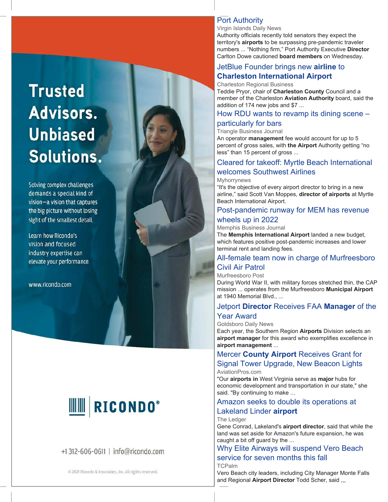# **Trusted** Advisors. **Unbiased** Solutions.

Solving complex challenges demands a special kind of vision-a vision that captures the big picture without losing sight of the smallest detail.

Learn how Ricondo's vision and focused industry expertise can elevate your performance.

www.ricondo.com

# **RICONDO®**

# +1 312-606-0611 | info@ricondo.com

@ 2021 Ricondo & Associates, Inc. All rights reserved.

#### [Port Authority](https://www.google.com/url?rct=j&sa=t&url=http://www.virginislandsdailynews.com/news/port-authority/article_616ac6f0-d301-527a-80af-1cce2ae026ac.html&ct=ga&cd=CAEYACoTNTgxNTEzMTc2MzgyMjI4MzY5MzIcMTQ4MGYwY2FmOWIyMTEyZTpjb206ZW46VVM6Ug&usg=AFQjCNG8YrxMHyVQxBq89qLi-_kP9MR-UQ)

Virgin Islands Daily News

Authority officials recently told senators they expect the territory's **airports** to be surpassing pre-pandemic traveler numbers ... "Nothing firm," Port Authority Executive **Director** Carlton Dowe cautioned **board members** on Wednesday.

# [JetBlue Founder brings new](https://www.google.com/url?rct=j&sa=t&url=https://charlestonbusiness.com/news/aerospace/80543/&ct=ga&cd=CAEYACoTMzM5NTcwNjA4MDMzMjY3NjAwMzIaMzI2OGY1ZmNkNjQ2MjMyYzpjb206ZW46VVM&usg=AFQjCNHOjL7ST_DzD5jCadeGNDUQ63UMHg) **[airline](https://www.google.com/url?rct=j&sa=t&url=https://charlestonbusiness.com/news/aerospace/80543/&ct=ga&cd=CAEYACoTMzM5NTcwNjA4MDMzMjY3NjAwMzIaMzI2OGY1ZmNkNjQ2MjMyYzpjb206ZW46VVM&usg=AFQjCNHOjL7ST_DzD5jCadeGNDUQ63UMHg)** [to](https://www.google.com/url?rct=j&sa=t&url=https://charlestonbusiness.com/news/aerospace/80543/&ct=ga&cd=CAEYACoTMzM5NTcwNjA4MDMzMjY3NjAwMzIaMzI2OGY1ZmNkNjQ2MjMyYzpjb206ZW46VVM&usg=AFQjCNHOjL7ST_DzD5jCadeGNDUQ63UMHg)  **[Charleston International Airport](https://www.google.com/url?rct=j&sa=t&url=https://charlestonbusiness.com/news/aerospace/80543/&ct=ga&cd=CAEYACoTMzM5NTcwNjA4MDMzMjY3NjAwMzIaMzI2OGY1ZmNkNjQ2MjMyYzpjb206ZW46VVM&usg=AFQjCNHOjL7ST_DzD5jCadeGNDUQ63UMHg)**

#### Charleston Regional Business

Teddie Pryor, chair of **Charleston County** Council and a member of the Charleston **Aviation Authority** board, said the addition of 174 new jobs and \$7 ...

#### [How RDU wants to revamp its dining scene –](https://www.google.com/url?rct=j&sa=t&url=https://www.bizjournals.com/triangle/news/2021/05/24/how-rdu-wants-to-revamp-its-restaurant-scene.html&ct=ga&cd=CAEYBCoTNTk3MDM5MzMzNTc4NjM3NzM2MDIcMTQ4MGYwY2FmOWIyMTEyZTpjb206ZW46VVM6Ug&usg=AFQjCNFIYyhTvGQNUkdbaBXN2DsjnFnHQA)

## [particularly for bars](https://www.google.com/url?rct=j&sa=t&url=https://www.bizjournals.com/triangle/news/2021/05/24/how-rdu-wants-to-revamp-its-restaurant-scene.html&ct=ga&cd=CAEYBCoTNTk3MDM5MzMzNTc4NjM3NzM2MDIcMTQ4MGYwY2FmOWIyMTEyZTpjb206ZW46VVM6Ug&usg=AFQjCNFIYyhTvGQNUkdbaBXN2DsjnFnHQA)

Triangle Business Journal An operator **management** fee would account for up to 5

percent of gross sales, with **the Airport** Authority getting "no less" than 15 percent of gross ...

#### [Cleared for takeoff: Myrtle Beach International](https://www.google.com/url?rct=j&sa=t&url=https://www.myhorrynews.com/news/myr-welcomes-latest-airline-to-grand-strand/article_75618506-bc35-11eb-9532-57952227d30c.html&ct=ga&cd=CAEYASoTOTg4ODA0Nzk5NTA3ODU0NjA5NjIcMTQ4MGYwY2FmOWIyMTEyZTpjb206ZW46VVM6Ug&usg=AFQjCNG7BcZcyIsylX7_OD32_dqahbWPBw)  [welcomes Southwest Airlines](https://www.google.com/url?rct=j&sa=t&url=https://www.myhorrynews.com/news/myr-welcomes-latest-airline-to-grand-strand/article_75618506-bc35-11eb-9532-57952227d30c.html&ct=ga&cd=CAEYASoTOTg4ODA0Nzk5NTA3ODU0NjA5NjIcMTQ4MGYwY2FmOWIyMTEyZTpjb206ZW46VVM6Ug&usg=AFQjCNG7BcZcyIsylX7_OD32_dqahbWPBw)

Myhorrynews

"It's the objective of every airport director to bring in a new airline," said Scott Van Moppes, **director of airports** at Myrtle Beach International Airport.

## [Post-pandemic runway for MEM has revenue](https://www.google.com/url?rct=j&sa=t&url=https://www.bizjournals.com/memphis/news/2021/05/24/post-pandemic-runway-for-mem-shows-revenue-up.html&ct=ga&cd=CAEYACoSODM2MzU2Njc4NTAwMzA1MTE2MhplMWU1MDJjOTcyZDk0NWVhOmNvbTplbjpVUw&usg=AFQjCNHBqSJo6DYewxKuvE2FCcU3zg-zqA)  [wheels up in 2022](https://www.google.com/url?rct=j&sa=t&url=https://www.bizjournals.com/memphis/news/2021/05/24/post-pandemic-runway-for-mem-shows-revenue-up.html&ct=ga&cd=CAEYACoSODM2MzU2Njc4NTAwMzA1MTE2MhplMWU1MDJjOTcyZDk0NWVhOmNvbTplbjpVUw&usg=AFQjCNHBqSJo6DYewxKuvE2FCcU3zg-zqA)

# Memphis Business Journal

The **Memphis International Airport** landed a new budget, which features positive post-pandemic increases and lower terminal rent and landing fees.

# [All-female team now in charge of Murfreesboro](https://www.google.com/url?rct=j&sa=t&url=https://www.murfreesboropost.com/news/all-female-team-now-in-charge-of-murfreesboro-civil-air-patrol/article_9ec61dfe-ba45-11eb-a93a-03bb44f1ca8c.html&ct=ga&cd=CAEYCCoTODk0MzQ4NjE2ODQ1MDcwMzk0MDIaMTJjMzA5N2VkNzU0OWY3ZTpjb206ZW46VVM&usg=AFQjCNElofahCeH6FRFDYDrXgXzUjaR4Vg)  [Civil Air Patrol](https://www.google.com/url?rct=j&sa=t&url=https://www.murfreesboropost.com/news/all-female-team-now-in-charge-of-murfreesboro-civil-air-patrol/article_9ec61dfe-ba45-11eb-a93a-03bb44f1ca8c.html&ct=ga&cd=CAEYCCoTODk0MzQ4NjE2ODQ1MDcwMzk0MDIaMTJjMzA5N2VkNzU0OWY3ZTpjb206ZW46VVM&usg=AFQjCNElofahCeH6FRFDYDrXgXzUjaR4Vg)

#### Murfreesboro Post

During World War II, with military forces stretched thin, the CAP mission ... operates from the Murfreesboro **Municipal Airport** at 1940 Memorial Blvd., ...

#### [Jetport](https://www.google.com/url?rct=j&sa=t&url=https://www.goldsborodailynews.com/2021/05/25/jetport-director-receives-faa-manager-of-the-year-award/&ct=ga&cd=CAEYACoTMzE3MTMzNzQwMTEzMTg0NjM2NjIcMTQ4MGYwY2FmOWIyMTEyZTpjb206ZW46VVM6Ug&usg=AFQjCNGZ5Ca4Ry32fYovdPSGmAJaVCcndg) **[Director](https://www.google.com/url?rct=j&sa=t&url=https://www.goldsborodailynews.com/2021/05/25/jetport-director-receives-faa-manager-of-the-year-award/&ct=ga&cd=CAEYACoTMzE3MTMzNzQwMTEzMTg0NjM2NjIcMTQ4MGYwY2FmOWIyMTEyZTpjb206ZW46VVM6Ug&usg=AFQjCNGZ5Ca4Ry32fYovdPSGmAJaVCcndg)** [Receives FAA](https://www.google.com/url?rct=j&sa=t&url=https://www.goldsborodailynews.com/2021/05/25/jetport-director-receives-faa-manager-of-the-year-award/&ct=ga&cd=CAEYACoTMzE3MTMzNzQwMTEzMTg0NjM2NjIcMTQ4MGYwY2FmOWIyMTEyZTpjb206ZW46VVM6Ug&usg=AFQjCNGZ5Ca4Ry32fYovdPSGmAJaVCcndg) **[Manager](https://www.google.com/url?rct=j&sa=t&url=https://www.goldsborodailynews.com/2021/05/25/jetport-director-receives-faa-manager-of-the-year-award/&ct=ga&cd=CAEYACoTMzE3MTMzNzQwMTEzMTg0NjM2NjIcMTQ4MGYwY2FmOWIyMTEyZTpjb206ZW46VVM6Ug&usg=AFQjCNGZ5Ca4Ry32fYovdPSGmAJaVCcndg)** [of the](https://www.google.com/url?rct=j&sa=t&url=https://www.goldsborodailynews.com/2021/05/25/jetport-director-receives-faa-manager-of-the-year-award/&ct=ga&cd=CAEYACoTMzE3MTMzNzQwMTEzMTg0NjM2NjIcMTQ4MGYwY2FmOWIyMTEyZTpjb206ZW46VVM6Ug&usg=AFQjCNGZ5Ca4Ry32fYovdPSGmAJaVCcndg)  [Year Award](https://www.google.com/url?rct=j&sa=t&url=https://www.goldsborodailynews.com/2021/05/25/jetport-director-receives-faa-manager-of-the-year-award/&ct=ga&cd=CAEYACoTMzE3MTMzNzQwMTEzMTg0NjM2NjIcMTQ4MGYwY2FmOWIyMTEyZTpjb206ZW46VVM6Ug&usg=AFQjCNGZ5Ca4Ry32fYovdPSGmAJaVCcndg)

Goldsboro Daily News

Each year, the Southern Region **Airports** Division selects an **airport manager** for this award who exemplifies excellence in **airport management** ...

#### [Mercer](https://www.google.com/url?rct=j&sa=t&url=https://www.aviationpros.com/aoa/runway-management/lighting-signage-closure-markings/news/21224142/mercer-county-airport-receives-grant-for-signal-tower-upgrade-new-beacon-lights&ct=ga&cd=CAEYASoTMjkxODA1OTUwMDIzNTUyNDUzNDIaMTJjMzA5N2VkNzU0OWY3ZTpjb206ZW46VVM&usg=AFQjCNHhjkI2Xq3ASE7cInVRvBhW9Xrbtg) **[County Airport](https://www.google.com/url?rct=j&sa=t&url=https://www.aviationpros.com/aoa/runway-management/lighting-signage-closure-markings/news/21224142/mercer-county-airport-receives-grant-for-signal-tower-upgrade-new-beacon-lights&ct=ga&cd=CAEYASoTMjkxODA1OTUwMDIzNTUyNDUzNDIaMTJjMzA5N2VkNzU0OWY3ZTpjb206ZW46VVM&usg=AFQjCNHhjkI2Xq3ASE7cInVRvBhW9Xrbtg)** [Receives Grant for](https://www.google.com/url?rct=j&sa=t&url=https://www.aviationpros.com/aoa/runway-management/lighting-signage-closure-markings/news/21224142/mercer-county-airport-receives-grant-for-signal-tower-upgrade-new-beacon-lights&ct=ga&cd=CAEYASoTMjkxODA1OTUwMDIzNTUyNDUzNDIaMTJjMzA5N2VkNzU0OWY3ZTpjb206ZW46VVM&usg=AFQjCNHhjkI2Xq3ASE7cInVRvBhW9Xrbtg)  [Signal Tower Upgrade, New Beacon Lights](https://www.google.com/url?rct=j&sa=t&url=https://www.aviationpros.com/aoa/runway-management/lighting-signage-closure-markings/news/21224142/mercer-county-airport-receives-grant-for-signal-tower-upgrade-new-beacon-lights&ct=ga&cd=CAEYASoTMjkxODA1OTUwMDIzNTUyNDUzNDIaMTJjMzA5N2VkNzU0OWY3ZTpjb206ZW46VVM&usg=AFQjCNHhjkI2Xq3ASE7cInVRvBhW9Xrbtg) AviationPros.com

"Our **airports in** West Virginia serve as **major** hubs for economic development and transportation in our state," she said. "By continuing to make ...

# [Amazon seeks to double its operations at](https://www.google.com/url?rct=j&sa=t&url=https://www.theledger.com/story/news/local/2021/05/25/amazon-looks-expand-its-operation-lakeland-linder-airport/5203174001/&ct=ga&cd=CAEYASoSNjgyODYwMjE2OTQxMDc3NzQ3MhwxNDgwZjBjYWY5YjIxMTJlOmNvbTplbjpVUzpS&usg=AFQjCNF81RH0HTMGcaOfWCS-zFXnHScN_g)

## [Lakeland Linder](https://www.google.com/url?rct=j&sa=t&url=https://www.theledger.com/story/news/local/2021/05/25/amazon-looks-expand-its-operation-lakeland-linder-airport/5203174001/&ct=ga&cd=CAEYASoSNjgyODYwMjE2OTQxMDc3NzQ3MhwxNDgwZjBjYWY5YjIxMTJlOmNvbTplbjpVUzpS&usg=AFQjCNF81RH0HTMGcaOfWCS-zFXnHScN_g) **[airport](https://www.google.com/url?rct=j&sa=t&url=https://www.theledger.com/story/news/local/2021/05/25/amazon-looks-expand-its-operation-lakeland-linder-airport/5203174001/&ct=ga&cd=CAEYASoSNjgyODYwMjE2OTQxMDc3NzQ3MhwxNDgwZjBjYWY5YjIxMTJlOmNvbTplbjpVUzpS&usg=AFQjCNF81RH0HTMGcaOfWCS-zFXnHScN_g)**

#### The Ledger

Gene Conrad, Lakeland's **airport director**, said that while the land was set aside for Amazon's future expansion, he was caught a bit off guard by the ...

# [Why Elite Airways will suspend Vero Beach](https://www.google.com/url?rct=j&sa=t&url=https://www.tcpalm.com/story/news/local/indian-river-county/2021/05/25/elite-airways-temporarily-moves-vero-beach-service-to-orlando-melbourne-duringairport-runway-project/7428288002/&ct=ga&cd=CAEYACoTMzUxODA5OTExMTIxODI1MDY1MzIcOGVjYjY3MWRlZmVkNjgxZTpjb206ZW46VVM6Ug&usg=AFQjCNF9CKDwcvrCfyn5Vhpdt1BPK_qzWw)  [service for seven months this fall](https://www.google.com/url?rct=j&sa=t&url=https://www.tcpalm.com/story/news/local/indian-river-county/2021/05/25/elite-airways-temporarily-moves-vero-beach-service-to-orlando-melbourne-duringairport-runway-project/7428288002/&ct=ga&cd=CAEYACoTMzUxODA5OTExMTIxODI1MDY1MzIcOGVjYjY3MWRlZmVkNjgxZTpjb206ZW46VVM6Ug&usg=AFQjCNF9CKDwcvrCfyn5Vhpdt1BPK_qzWw)

TCPalm

Vero Beach city leaders, including City Manager Monte Falls and Regional **Airport Director** Todd Scher, said ,,,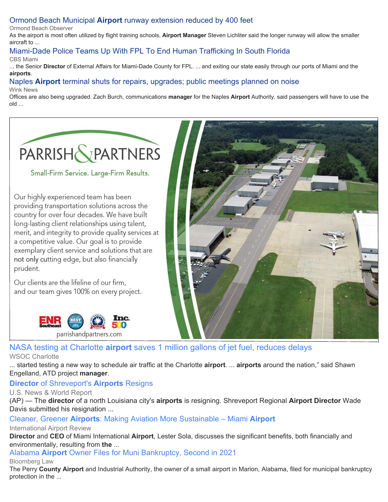# [Ormond Beach Municipal](https://www.google.com/url?rct=j&sa=t&url=https://www.ormondbeachobserver.com/article/ormond-beach-municipal-airport-runway-extension-reduced-by-400-feet&ct=ga&cd=CAEYACoTOTIzMjQ1MDg2NTY4NDE0Njg5MjIcOGVjYjY3MWRlZmVkNjgxZTpjb206ZW46VVM6Ug&usg=AFQjCNGzV85V24GxvGraF_Eq9gagxAUXOA) **[Airport](https://www.google.com/url?rct=j&sa=t&url=https://www.ormondbeachobserver.com/article/ormond-beach-municipal-airport-runway-extension-reduced-by-400-feet&ct=ga&cd=CAEYACoTOTIzMjQ1MDg2NTY4NDE0Njg5MjIcOGVjYjY3MWRlZmVkNjgxZTpjb206ZW46VVM6Ug&usg=AFQjCNGzV85V24GxvGraF_Eq9gagxAUXOA)** [runway extension reduced by 400 feet](https://www.google.com/url?rct=j&sa=t&url=https://www.ormondbeachobserver.com/article/ormond-beach-municipal-airport-runway-extension-reduced-by-400-feet&ct=ga&cd=CAEYACoTOTIzMjQ1MDg2NTY4NDE0Njg5MjIcOGVjYjY3MWRlZmVkNjgxZTpjb206ZW46VVM6Ug&usg=AFQjCNGzV85V24GxvGraF_Eq9gagxAUXOA)

Ormond Beach Observer

As the airport is most often utilized by flight training schools, **Airport Manager** Steven Lichliter said the longer runway will allow the smaller aircraft to ...

#### [Miami-Dade Police Teams Up With FPL To End Human Trafficking In South Florida](https://www.google.com/url?rct=j&sa=t&url=https://miami.cbslocal.com/2021/05/26/miami-dade-police-teams-up-with-fpl-to-end-human-trafficking-in-south-florida/&ct=ga&cd=CAEYAyoTOTk1NDEwMjc3MDI3MzA2NzU3NTIcMTQ4MGYwY2FmOWIyMTEyZTpjb206ZW46VVM6Ug&usg=AFQjCNGm4LFqh-PfIFTX2U6otshM1hXc_A) CBS Miami

... the Senior **Director** of External Affairs for Miami-Dade County for FPL. ... and exiting our state easily through our ports of Miami and the **airports**.

# [Naples](https://www.google.com/url?rct=j&sa=t&url=https://www.winknews.com/2021/05/26/naples-airport-public-hearings-on-noise/&ct=ga&cd=CAEYACoTODIyMTQ4NTMwODA5Mzk5MTgzMDIcOGVjYjY3MWRlZmVkNjgxZTpjb206ZW46VVM6Ug&usg=AFQjCNHgXMTlZ0DxDJC7cZmjTFcJl8o6EQ) **[Airport](https://www.google.com/url?rct=j&sa=t&url=https://www.winknews.com/2021/05/26/naples-airport-public-hearings-on-noise/&ct=ga&cd=CAEYACoTODIyMTQ4NTMwODA5Mzk5MTgzMDIcOGVjYjY3MWRlZmVkNjgxZTpjb206ZW46VVM6Ug&usg=AFQjCNHgXMTlZ0DxDJC7cZmjTFcJl8o6EQ)** [terminal shuts for repairs, upgrades; public meetings planned on noise](https://www.google.com/url?rct=j&sa=t&url=https://www.winknews.com/2021/05/26/naples-airport-public-hearings-on-noise/&ct=ga&cd=CAEYACoTODIyMTQ4NTMwODA5Mzk5MTgzMDIcOGVjYjY3MWRlZmVkNjgxZTpjb206ZW46VVM6Ug&usg=AFQjCNHgXMTlZ0DxDJC7cZmjTFcJl8o6EQ)

#### Wink News

Offices are also being upgraded. Zach Burch, communications **manager** for the Naples **Airport** Authority, said passengers will have to use the old ...



Small-Firm Service. Large-Firm Results.

Our highly experienced team has been providing transportation solutions across the country for over four decades. We have built long-lasting client relationships using talent, merit, and integrity to provide quality services at a competitive value. Our goal is to provide exemplary client service and solutions that are not only cutting edge, but also financially prudent.

Our clients are the lifeline of our firm, and our team gives 100% on every project.





[NASA testing at Charlotte](https://www.google.com/url?rct=j&sa=t&url=https://www.wsoctv.com/news/local/nasa-testing-charlotte-airport-saves-1-million-gallons-jet-fuel-reduces-delays/A6U5J4RRGBCTTAXJOI647YR6F4/&ct=ga&cd=CAEYBioTMzczNjM0OTU3ODMwOTE0NDEyMTIcOGVjYjY3MWRlZmVkNjgxZTpjb206ZW46VVM6Ug&usg=AFQjCNEwLtJ7Qi4dnMvBcRc5K7Lad1_zCQ) **[airport](https://www.google.com/url?rct=j&sa=t&url=https://www.wsoctv.com/news/local/nasa-testing-charlotte-airport-saves-1-million-gallons-jet-fuel-reduces-delays/A6U5J4RRGBCTTAXJOI647YR6F4/&ct=ga&cd=CAEYBioTMzczNjM0OTU3ODMwOTE0NDEyMTIcOGVjYjY3MWRlZmVkNjgxZTpjb206ZW46VVM6Ug&usg=AFQjCNEwLtJ7Qi4dnMvBcRc5K7Lad1_zCQ)** [saves 1 million gallons of jet fuel, reduces delays](https://www.google.com/url?rct=j&sa=t&url=https://www.wsoctv.com/news/local/nasa-testing-charlotte-airport-saves-1-million-gallons-jet-fuel-reduces-delays/A6U5J4RRGBCTTAXJOI647YR6F4/&ct=ga&cd=CAEYBioTMzczNjM0OTU3ODMwOTE0NDEyMTIcOGVjYjY3MWRlZmVkNjgxZTpjb206ZW46VVM6Ug&usg=AFQjCNEwLtJ7Qi4dnMvBcRc5K7Lad1_zCQ) WSOC Charlotte

... started testing a new way to schedule air traffic at the Charlotte **airport**. ... **airports** around the nation," said Shawn Engelland, ATD project **manager**.

# **[Director](https://www.google.com/url?rct=j&sa=t&url=https://www.usnews.com/news/best-states/louisiana/articles/2021-05-27/director-of-shreveports-airports-resigns&ct=ga&cd=CAEYACoUMTUzOTI0MjA3ODY1ODk2NjQ0NDYyHDE0ODBmMGNhZjliMjExMmU6Y29tOmVuOlVTOlI&usg=AFQjCNEHm_J6-WyBU5IgDbDzM4O1ycUOXQ)** [of Shreveport's](https://www.google.com/url?rct=j&sa=t&url=https://www.usnews.com/news/best-states/louisiana/articles/2021-05-27/director-of-shreveports-airports-resigns&ct=ga&cd=CAEYACoUMTUzOTI0MjA3ODY1ODk2NjQ0NDYyHDE0ODBmMGNhZjliMjExMmU6Y29tOmVuOlVTOlI&usg=AFQjCNEHm_J6-WyBU5IgDbDzM4O1ycUOXQ) **[Airports](https://www.google.com/url?rct=j&sa=t&url=https://www.usnews.com/news/best-states/louisiana/articles/2021-05-27/director-of-shreveports-airports-resigns&ct=ga&cd=CAEYACoUMTUzOTI0MjA3ODY1ODk2NjQ0NDYyHDE0ODBmMGNhZjliMjExMmU6Y29tOmVuOlVTOlI&usg=AFQjCNEHm_J6-WyBU5IgDbDzM4O1ycUOXQ)** [Resigns](https://www.google.com/url?rct=j&sa=t&url=https://www.usnews.com/news/best-states/louisiana/articles/2021-05-27/director-of-shreveports-airports-resigns&ct=ga&cd=CAEYACoUMTUzOTI0MjA3ODY1ODk2NjQ0NDYyHDE0ODBmMGNhZjliMjExMmU6Y29tOmVuOlVTOlI&usg=AFQjCNEHm_J6-WyBU5IgDbDzM4O1ycUOXQ)

U.S. News & World Report

(AP) — The **director** of a north Louisiana city's **airports** is resigning. Shreveport Regional **Airport Director** Wade Davis submitted his resignation ...

## [Cleaner, Greener](https://www.google.com/url?rct=j&sa=t&url=https://www.internationalairportreview.com/article/159729/aviation-sustainable-miami-airport/&ct=ga&cd=CAEYACoTOTA0NTIwNTk2MzI2MTQyMTQ1ODIcMTQ4MGYwY2FmOWIyMTEyZTpjb206ZW46VVM6Ug&usg=AFQjCNFvFOKL09K4eRtzhwbvBKicHKztaw) **[Airports](https://www.google.com/url?rct=j&sa=t&url=https://www.internationalairportreview.com/article/159729/aviation-sustainable-miami-airport/&ct=ga&cd=CAEYACoTOTA0NTIwNTk2MzI2MTQyMTQ1ODIcMTQ4MGYwY2FmOWIyMTEyZTpjb206ZW46VVM6Ug&usg=AFQjCNFvFOKL09K4eRtzhwbvBKicHKztaw)**[: Making Aviation More Sustainable – Miami](https://www.google.com/url?rct=j&sa=t&url=https://www.internationalairportreview.com/article/159729/aviation-sustainable-miami-airport/&ct=ga&cd=CAEYACoTOTA0NTIwNTk2MzI2MTQyMTQ1ODIcMTQ4MGYwY2FmOWIyMTEyZTpjb206ZW46VVM6Ug&usg=AFQjCNFvFOKL09K4eRtzhwbvBKicHKztaw) **[Airport](https://www.google.com/url?rct=j&sa=t&url=https://www.internationalairportreview.com/article/159729/aviation-sustainable-miami-airport/&ct=ga&cd=CAEYACoTOTA0NTIwNTk2MzI2MTQyMTQ1ODIcMTQ4MGYwY2FmOWIyMTEyZTpjb206ZW46VVM6Ug&usg=AFQjCNFvFOKL09K4eRtzhwbvBKicHKztaw)**

International Airport Review

**Director** and **CEO** of Miami International **Airport**, Lester Sola, discusses the significant benefits, both financially and environmentally, resulting from **the** ...

[Alabama](https://www.google.com/url?rct=j&sa=t&url=https://news.bloomberglaw.com/bankruptcy-law/alabama-airport-owner-files-for-muni-bankruptcy-second-in-2021&ct=ga&cd=CAEYCCoTOTIzMTI4ODQzMDI5NTc1NTUxNDIaMTJjMzA5N2VkNzU0OWY3ZTpjb206ZW46VVM&usg=AFQjCNF3OcPyM6HU0TFpClyvzGiRjhX2DQ) **[Airport](https://www.google.com/url?rct=j&sa=t&url=https://news.bloomberglaw.com/bankruptcy-law/alabama-airport-owner-files-for-muni-bankruptcy-second-in-2021&ct=ga&cd=CAEYCCoTOTIzMTI4ODQzMDI5NTc1NTUxNDIaMTJjMzA5N2VkNzU0OWY3ZTpjb206ZW46VVM&usg=AFQjCNF3OcPyM6HU0TFpClyvzGiRjhX2DQ)** [Owner Files for Muni Bankruptcy, Second in 2021](https://www.google.com/url?rct=j&sa=t&url=https://news.bloomberglaw.com/bankruptcy-law/alabama-airport-owner-files-for-muni-bankruptcy-second-in-2021&ct=ga&cd=CAEYCCoTOTIzMTI4ODQzMDI5NTc1NTUxNDIaMTJjMzA5N2VkNzU0OWY3ZTpjb206ZW46VVM&usg=AFQjCNF3OcPyM6HU0TFpClyvzGiRjhX2DQ)

Bloomberg Law

The Perry **County Airport** and Industrial Authority, the owner of a small airport in Marion, Alabama, filed for municipal bankruptcy protection in the ...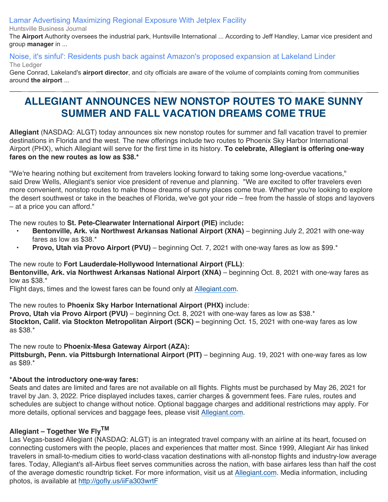[Lamar Advertising Maximizing Regional Exposure With Jetplex Facility](https://www.google.com/url?rct=j&sa=t&url=https://huntsvillebusinessjournal.com/lead/2021/05/27/lamar-advertising-maximizing-regional-exposure-with-jetplex-facility/&ct=ga&cd=CAEYAyoUMTczODUwMjgxNzI4NDkwNDI5MTMyHDhlY2I2NzFkZWZlZDY4MWU6Y29tOmVuOlVTOlI&usg=AFQjCNFTiFYdcajc7rJ7K5B0etZuuiNBag)

Huntsville Business Journal

The **Airport** Authority oversees the industrial park, Huntsville International ... According to Jeff Handley, Lamar vice president and group **manager** in ...

# [Noise, it's sinful': Residents push back against Amazon's proposed expansion at Lakeland Linder](https://www.google.com/url?rct=j&sa=t&url=https://www.theledger.com/story/news/local/2021/05/28/amazon-expansion-lakeland-linder-airport-met-pushback-residents/7454052002/&ct=ga&cd=CAEYDSoUMTEyNzc4MzI0MzY0MjQyNzA2NTEyHDE0ODBmMGNhZjliMjExMmU6Y29tOmVuOlVTOlI&usg=AFQjCNF3CV358VYu_-yqmlVYNgMJeis03A)

The Ledger

Gene Conrad, Lakeland's **airport director**, and city officials are aware of the volume of complaints coming from communities around **the airport** ...

# **ALLEGIANT ANNOUNCES NEW NONSTOP ROUTES TO MAKE SUNNY SUMMER AND FALL VACATION DREAMS COME TRUE**

**Allegiant** (NASDAQ: ALGT) today announces six new nonstop routes for summer and fall vacation travel to premier destinations in Florida and the west. The new offerings include two routes to Phoenix Sky Harbor International Airport (PHX), which Allegiant will serve for the first time in its history. **To celebrate, Allegiant is offering one-way fares on the new routes as low as \$38.\***

"We're hearing nothing but excitement from travelers looking forward to taking some long-overdue vacations," said Drew Wells, Allegiant's senior vice president of revenue and planning. "We are excited to offer travelers even more convenient, nonstop routes to make those dreams of sunny places come true. Whether you're looking to explore the desert southwest or take in the beaches of Florida, we've got your ride – free from the hassle of stops and layovers – at a price you can afford."

The new routes to **St. Pete-Clearwater International Airport (PIE)** include**:**

- **• Bentonville, Ark. via Northwest Arkansas National Airport (XNA)** beginning July 2, 2021 with one-way fares as low as \$38.\*
- **• Provo, Utah via Provo Airport (PVU)** beginning Oct. 7, 2021 with one-way fares as low as \$99.\*

# The new route to **Fort Lauderdale-Hollywood International Airport (FLL)**:

**Bentonville, Ark. via Northwest Arkansas National Airport (XNA)** – beginning Oct. 8, 2021 with one-way fares as low as \$38.\*

Flight days, times and the lowest fares can be found only at [Allegiant.com](https://c212.net/c/link/?t=0&l=en&o=3174332-1&h=3294152967&u=http%3A%2F%2Fwww.allegiant.com%2F&a=Allegiant.com).

The new routes to **Phoenix Sky Harbor International Airport (PHX)** include: **Provo, Utah via Provo Airport (PVU)** – beginning Oct. 8, 2021 with one-way fares as low as \$38.\* **Stockton, Calif. via Stockton Metropolitan Airport (SCK) –** beginning Oct. 15, 2021 with one-way fares as low as \$38.\*

# The new route to **Phoenix-Mesa Gateway Airport (AZA):**

**Pittsburgh, Penn. via Pittsburgh International Airport (PIT)** – beginning Aug. 19, 2021 with one-way fares as low as \$89.\*

# **\*About the introductory one-way fares:**

Seats and dates are limited and fares are not available on all flights. Flights must be purchased by May 26, 2021 for travel by Jan. 3, 2022. Price displayed includes taxes, carrier charges & government fees. Fare rules, routes and schedules are subject to change without notice. Optional baggage charges and additional restrictions may apply. For more details, optional services and baggage fees, please visit [Allegiant.com.](https://c212.net/c/link/?t=0&l=en&o=3174332-1&h=612777694&u=http%3A%2F%2Fallegiant.com%2F&a=Allegiant.com)

# **Allegiant – Together We FlyTM**

Las Vegas-based Allegiant (NASDAQ: ALGT) is an integrated travel company with an airline at its heart, focused on connecting customers with the people, places and experiences that matter most. Since 1999, Allegiant Air has linked travelers in small-to-medium cities to world-class vacation destinations with all-nonstop flights and industry-low average fares. Today, Allegiant's all-Airbus fleet serves communities across the nation, with base airfares less than half the cost of the average domestic roundtrip ticket. For more information, visit us at [Allegiant.com.](http://allegiant.com/) Media information, including photos, is available at [http://gofly.us/iiFa303wrtF](https://c212.net/c/link/?t=0&l=en&o=3174332-1&h=3821869966&u=https%3A%2F%2Fc212.net%2Fc%2Flink%2F%3Ft%3D0%26l%3Den%26o%3D3008513-1%26h%3D3830454561%26u%3Dhttp%253A%252F%252Fgofly.us%252FiiFa303wrtF%26a%3Dhttp%253A%252F%252Fgofly.us%252FiiFa303wrtF&a=http%3A%2F%2Fgofly.us%2FiiFa303wrtF)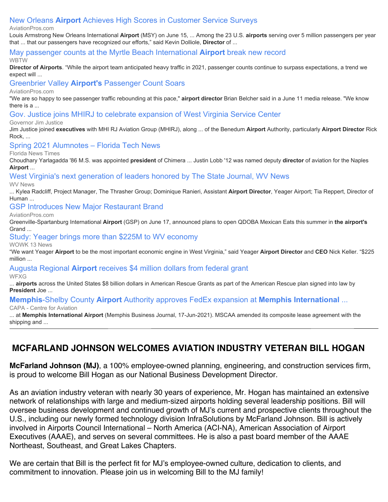# [New Orleans](https://www.google.com/url?rct=j&sa=t&url=https://www.aviationpros.com/airports/press-release/21226955/louis-armstrong-international-airport-new-orleans-airport-achieves-high-scores-in-customer-service-surveys&ct=ga&cd=CAEYDioTNTM5NDAyOTE3MTQzNDc1NDc1NTIcMTQ4MGYwY2FmOWIyMTEyZTpjb206ZW46VVM6Ug&usg=AFQjCNG_-CMkunbc4tnhfXlWS8C97ibR1A) **[Airport](https://www.google.com/url?rct=j&sa=t&url=https://www.aviationpros.com/airports/press-release/21226955/louis-armstrong-international-airport-new-orleans-airport-achieves-high-scores-in-customer-service-surveys&ct=ga&cd=CAEYDioTNTM5NDAyOTE3MTQzNDc1NDc1NTIcMTQ4MGYwY2FmOWIyMTEyZTpjb206ZW46VVM6Ug&usg=AFQjCNG_-CMkunbc4tnhfXlWS8C97ibR1A)** [Achieves High Scores in Customer Service Surveys](https://www.google.com/url?rct=j&sa=t&url=https://www.aviationpros.com/airports/press-release/21226955/louis-armstrong-international-airport-new-orleans-airport-achieves-high-scores-in-customer-service-surveys&ct=ga&cd=CAEYDioTNTM5NDAyOTE3MTQzNDc1NDc1NTIcMTQ4MGYwY2FmOWIyMTEyZTpjb206ZW46VVM6Ug&usg=AFQjCNG_-CMkunbc4tnhfXlWS8C97ibR1A)

#### AviationPros.com

Louis Armstrong New Orleans International **Airport** (MSY) on June 15, ... Among the 23 U.S. **airports** serving over 5 million passengers per year that ... that our passengers have recognized our efforts," said Kevin Dolliole, **Director** of ...

# [May passenger counts at the Myrtle Beach International](https://www.google.com/url?rct=j&sa=t&url=https://www.wbtw.com/home/may-passenger-counts-at-the-myrtle-beach-international-airport-break-new-record/&ct=ga&cd=CAEYASoTNTM5NDAyOTE3MTQzNDc1NDc1NTIcMTQ4MGYwY2FmOWIyMTEyZTpjb206ZW46VVM6Ug&usg=AFQjCNHSngkeZ4OkRC6WEZF1INBo-BmZIQ) **[Airport](https://www.google.com/url?rct=j&sa=t&url=https://www.wbtw.com/home/may-passenger-counts-at-the-myrtle-beach-international-airport-break-new-record/&ct=ga&cd=CAEYASoTNTM5NDAyOTE3MTQzNDc1NDc1NTIcMTQ4MGYwY2FmOWIyMTEyZTpjb206ZW46VVM6Ug&usg=AFQjCNHSngkeZ4OkRC6WEZF1INBo-BmZIQ)** [break new record](https://www.google.com/url?rct=j&sa=t&url=https://www.wbtw.com/home/may-passenger-counts-at-the-myrtle-beach-international-airport-break-new-record/&ct=ga&cd=CAEYASoTNTM5NDAyOTE3MTQzNDc1NDc1NTIcMTQ4MGYwY2FmOWIyMTEyZTpjb206ZW46VVM6Ug&usg=AFQjCNHSngkeZ4OkRC6WEZF1INBo-BmZIQ)

#### WBTW

**Director of Airports**. "While the airport team anticipated heavy traffic in 2021, passenger counts continue to surpass expectations, a trend we expect will ...

#### [Greenbrier Valley](https://www.google.com/url?rct=j&sa=t&url=https://www.aviationpros.com/airports/news/21226945/greenbrier-valley-airports-passenger-count-soars&ct=ga&cd=CAEYCCoTNTM5NDAyOTE3MTQzNDc1NDc1NTIcMTQ4MGYwY2FmOWIyMTEyZTpjb206ZW46VVM6Ug&usg=AFQjCNGCYEYO1IeZd_xKWWZwSmc0CKpJyA) **[Airport's](https://www.google.com/url?rct=j&sa=t&url=https://www.aviationpros.com/airports/news/21226945/greenbrier-valley-airports-passenger-count-soars&ct=ga&cd=CAEYCCoTNTM5NDAyOTE3MTQzNDc1NDc1NTIcMTQ4MGYwY2FmOWIyMTEyZTpjb206ZW46VVM6Ug&usg=AFQjCNGCYEYO1IeZd_xKWWZwSmc0CKpJyA)** [Passenger Count Soars](https://www.google.com/url?rct=j&sa=t&url=https://www.aviationpros.com/airports/news/21226945/greenbrier-valley-airports-passenger-count-soars&ct=ga&cd=CAEYCCoTNTM5NDAyOTE3MTQzNDc1NDc1NTIcMTQ4MGYwY2FmOWIyMTEyZTpjb206ZW46VVM6Ug&usg=AFQjCNGCYEYO1IeZd_xKWWZwSmc0CKpJyA)

AviationPros.com

"We are so happy to see passenger traffic rebounding at this pace," **airport director** Brian Belcher said in a June 11 media release. "We know there is a ...

#### [Gov. Justice joins MHIRJ to celebrate expansion of West Virginia Service Center](https://www.google.com/url?rct=j&sa=t&url=https://governor.wv.gov/News/press-releases/2021/Pages/Gov.-Justice-joins-MHIRJ-to-celebrate-expansion-of-West-Virginia-Service-Center.aspx&ct=ga&cd=CAEYCioTNTM5NDAyOTE3MTQzNDc1NDc1NTIcMTQ4MGYwY2FmOWIyMTEyZTpjb206ZW46VVM6Ug&usg=AFQjCNGPfg4eetsoSziNt0F3Dkdy7pVACQ)

#### Governor Jim Justice

Jim Justice joined **executives** with MHI RJ Aviation Group (MHIRJ), along ... of the Benedum **Airport** Authority, particularly **Airport Director** Rick Rock, ...

#### [Spring 2021 Alumnotes – Florida Tech News](https://www.google.com/url?rct=j&sa=t&url=https://floridanewstimes.com/spring-2021-alumnotes-florida-tech-news/287069/&ct=ga&cd=CAEYEyoTNTM5NDAyOTE3MTQzNDc1NDc1NTIcMTQ4MGYwY2FmOWIyMTEyZTpjb206ZW46VVM6Ug&usg=AFQjCNGip3tw9C9IHbhd9GAOPvpavwXBeQ)

Florida News Times

Choudhary Yarlagadda '86 M.S. was appointed **president** of Chimera ... Justin Lobb '12 was named deputy **director** of aviation for the Naples **Airport** ...

#### [West Virginia's next generation of leaders honored by The State Journal, WV News](https://www.google.com/url?rct=j&sa=t&url=https://www.wvnews.com/news/wvnews/west-virginias-next-generation-of-leaders-honored-by-the-state-journal-wv-news/article_06bc1258-d2be-5593-828c-6d5df29a32b5.html&ct=ga&cd=CAEYACoTNTEzNjUyNzY5MDQ4MTA4Mzc4NTIcOGVjYjY3MWRlZmVkNjgxZTpjb206ZW46VVM6Ug&usg=AFQjCNG_M330hkTVnUSCi94Z9b2_gSQMjQ)

WV News

... Kylea Radcliff, Project Manager, The Thrasher Group; Dominique Ranieri, Assistant **Airport Director**, Yeager Airport; Tia Reppert, Director of Human ...

#### [GSP Introduces New Major Restaurant Brand](https://www.google.com/url?rct=j&sa=t&url=https://www.aviationpros.com/airports/airport-revenue/concessionaire-retail/press-release/21227279/greenvillespartanburg-international-airport-gsp-gsp-introduces-new-major-restaurant-brand&ct=ga&cd=CAEYDCoTNjIyMjk3NDc2NDcyMjY3NTkxNjIcMTQ4MGYwY2FmOWIyMTEyZTpjb206ZW46VVM6Ug&usg=AFQjCNHH6bjdF3QGCCZpFRx9z2_UurAhGg)

#### AviationPros.com

Greenville-Spartanburg International **Airport** (GSP) on June 17, announced plans to open QDOBA Mexican Eats this summer in **the airport's** Grand ...

#### [Study: Yeager brings more than \\$225M to WV economy](https://www.google.com/url?rct=j&sa=t&url=https://www.wowktv.com/news/west-virginia/study-yeager-brings-more-than-225m-to-wv-economy/&ct=ga&cd=CAEYACoUMTczMjIzMTEwMDQwNjQzNzAzNzEyHDE0ODBmMGNhZjliMjExMmU6Y29tOmVuOlVTOlI&usg=AFQjCNERtUcMmqTMHxyebyC1m0H8iE4jLQ)

WOWK 13 News

"We want Yeager **Airport** to be the most important economic engine in West Virginia," said Yeager **Airport Director** and **CEO** Nick Keller. "\$225 million ...

# [Augusta Regional](https://www.google.com/url?rct=j&sa=t&url=https://www.wfxg.com/story/44166825/augusta-regional-airport-receives-dollar4-million-dollars-from-federal-grant&ct=ga&cd=CAEYACoTMjk1Nzk2Mzk0NTA1NzU2Njk5NTIcMTQ4MGYwY2FmOWIyMTEyZTpjb206ZW46VVM6Ug&usg=AFQjCNGaxMGQqbT16WQW_mQa9UcdhlyP3w) **[Airport](https://www.google.com/url?rct=j&sa=t&url=https://www.wfxg.com/story/44166825/augusta-regional-airport-receives-dollar4-million-dollars-from-federal-grant&ct=ga&cd=CAEYACoTMjk1Nzk2Mzk0NTA1NzU2Njk5NTIcMTQ4MGYwY2FmOWIyMTEyZTpjb206ZW46VVM6Ug&usg=AFQjCNGaxMGQqbT16WQW_mQa9UcdhlyP3w)** [receives \\$4 million dollars from federal grant](https://www.google.com/url?rct=j&sa=t&url=https://www.wfxg.com/story/44166825/augusta-regional-airport-receives-dollar4-million-dollars-from-federal-grant&ct=ga&cd=CAEYACoTMjk1Nzk2Mzk0NTA1NzU2Njk5NTIcMTQ4MGYwY2FmOWIyMTEyZTpjb206ZW46VVM6Ug&usg=AFQjCNGaxMGQqbT16WQW_mQa9UcdhlyP3w)

**WFXG** 

... **airports** across the United States \$8 billion dollars in American Rescue Grants as part of the American Rescue plan signed into law by **President** Joe ...

# **[Memphis](https://www.google.com/url?rct=j&sa=t&url=https://centreforaviation.com/news/memphis-shelby-county-airport-authority-approves-fedex-expansion-at-memphis-international-airport-1075376&ct=ga&cd=CAEYBCoUMTc0MjY5NjU0MjYxNzUzNjg5ODAyGmUxZTUwMmM5NzJkOTQ1ZWE6Y29tOmVuOlVT&usg=AFQjCNG_weet7FivPbSZtPuwVJ1PfQc88w)**[-Shelby County](https://www.google.com/url?rct=j&sa=t&url=https://centreforaviation.com/news/memphis-shelby-county-airport-authority-approves-fedex-expansion-at-memphis-international-airport-1075376&ct=ga&cd=CAEYBCoUMTc0MjY5NjU0MjYxNzUzNjg5ODAyGmUxZTUwMmM5NzJkOTQ1ZWE6Y29tOmVuOlVT&usg=AFQjCNG_weet7FivPbSZtPuwVJ1PfQc88w) **[Airport](https://www.google.com/url?rct=j&sa=t&url=https://centreforaviation.com/news/memphis-shelby-county-airport-authority-approves-fedex-expansion-at-memphis-international-airport-1075376&ct=ga&cd=CAEYBCoUMTc0MjY5NjU0MjYxNzUzNjg5ODAyGmUxZTUwMmM5NzJkOTQ1ZWE6Y29tOmVuOlVT&usg=AFQjCNG_weet7FivPbSZtPuwVJ1PfQc88w)** [Authority approves FedEx expansion at](https://www.google.com/url?rct=j&sa=t&url=https://centreforaviation.com/news/memphis-shelby-county-airport-authority-approves-fedex-expansion-at-memphis-international-airport-1075376&ct=ga&cd=CAEYBCoUMTc0MjY5NjU0MjYxNzUzNjg5ODAyGmUxZTUwMmM5NzJkOTQ1ZWE6Y29tOmVuOlVT&usg=AFQjCNG_weet7FivPbSZtPuwVJ1PfQc88w) **[Memphis International](https://www.google.com/url?rct=j&sa=t&url=https://centreforaviation.com/news/memphis-shelby-county-airport-authority-approves-fedex-expansion-at-memphis-international-airport-1075376&ct=ga&cd=CAEYBCoUMTc0MjY5NjU0MjYxNzUzNjg5ODAyGmUxZTUwMmM5NzJkOTQ1ZWE6Y29tOmVuOlVT&usg=AFQjCNG_weet7FivPbSZtPuwVJ1PfQc88w)** [...](https://www.google.com/url?rct=j&sa=t&url=https://centreforaviation.com/news/memphis-shelby-county-airport-authority-approves-fedex-expansion-at-memphis-international-airport-1075376&ct=ga&cd=CAEYBCoUMTc0MjY5NjU0MjYxNzUzNjg5ODAyGmUxZTUwMmM5NzJkOTQ1ZWE6Y29tOmVuOlVT&usg=AFQjCNG_weet7FivPbSZtPuwVJ1PfQc88w)

CAPA - Centre for Aviation

... at **Memphis International Airport** (Memphis Business Journal, 17-Jun-2021). MSCAA amended its composite lease agreement with the shipping and ...

# **MCFARLAND JOHNSON WELCOMES AVIATION INDUSTRY VETERAN BILL HOGAN**

**McFarland Johnson (MJ)**, a 100% employee-owned planning, engineering, and construction services firm, is proud to welcome Bill Hogan as our National Business Development Director.

As an aviation industry veteran with nearly 30 years of experience, Mr. Hogan has maintained an extensive network of relationships with large and medium-sized airports holding several leadership positions. Bill will oversee business development and continued growth of MJ's current and prospective clients throughout the U.S., including our newly formed technology division InfraSolutions by McFarland Johnson. Bill is actively involved in Airports Council International – North America (ACI-NA), American Association of Airport Executives (AAAE), and serves on several committees. He is also a past board member of the AAAE Northeast, Southeast, and Great Lakes Chapters.

We are certain that Bill is the perfect fit for MJ's employee-owned culture, dedication to clients, and commitment to innovation. Please join us in welcoming Bill to the MJ family!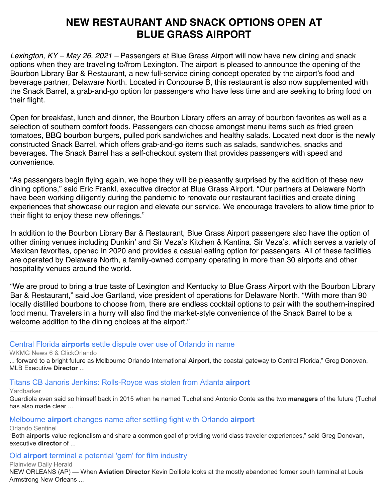# **NEW RESTAURANT AND SNACK OPTIONS OPEN AT BLUE GRASS AIRPORT**

*Lexington, KY – May 26, 2021 –* Passengers at Blue Grass Airport will now have new dining and snack options when they are traveling to/from Lexington. The airport is pleased to announce the opening of the Bourbon Library Bar & Restaurant, a new full-service dining concept operated by the airport's food and beverage partner, Delaware North. Located in Concourse B, this restaurant is also now supplemented with the Snack Barrel, a grab-and-go option for passengers who have less time and are seeking to bring food on their flight.

Open for breakfast, lunch and dinner, the Bourbon Library offers an array of bourbon favorites as well as a selection of southern comfort foods. Passengers can choose amongst menu items such as fried green tomatoes, BBQ bourbon burgers, pulled pork sandwiches and healthy salads. Located next door is the newly constructed Snack Barrel, which offers grab-and-go items such as salads, sandwiches, snacks and beverages. The Snack Barrel has a self-checkout system that provides passengers with speed and convenience.

"As passengers begin flying again, we hope they will be pleasantly surprised by the addition of these new dining options," said Eric Frankl, executive director at Blue Grass Airport. "Our partners at Delaware North have been working diligently during the pandemic to renovate our restaurant facilities and create dining experiences that showcase our region and elevate our service. We encourage travelers to allow time prior to their flight to enjoy these new offerings."

In addition to the Bourbon Library Bar & Restaurant, Blue Grass Airport passengers also have the option of other dining venues including Dunkin' and Sir Veza's Kitchen & Kantina. Sir Veza's, which serves a variety of Mexican favorites, opened in 2020 and provides a casual eating option for passengers. All of these facilities are operated by Delaware North, a family-owned company operating in more than 30 airports and other hospitality venues around the world.

"We are proud to bring a true taste of Lexington and Kentucky to Blue Grass Airport with the Bourbon Library Bar & Restaurant," said Joe Gartland, vice president of operations for Delaware North. "With more than 90 locally distilled bourbons to choose from, there are endless cocktail options to pair with the southern-inspired food menu. Travelers in a hurry will also find the market-style convenience of the Snack Barrel to be a welcome addition to the dining choices at the airport."

# [Central Florida](https://www.google.com/url?rct=j&sa=t&url=https://www.clickorlando.com/news/local/2021/05/28/central-florida-airports-settle-dispute-over-use-of-orlando-in-name/&ct=ga&cd=CAEYACoUMTgxNDM4NDA1MDMyOTM0Mzc2MTgyHDE0ODBmMGNhZjliMjExMmU6Y29tOmVuOlVTOlI&usg=AFQjCNFYUxcS3sYrxdMFeH6H60DvRjIdaQ) **[airports](https://www.google.com/url?rct=j&sa=t&url=https://www.clickorlando.com/news/local/2021/05/28/central-florida-airports-settle-dispute-over-use-of-orlando-in-name/&ct=ga&cd=CAEYACoUMTgxNDM4NDA1MDMyOTM0Mzc2MTgyHDE0ODBmMGNhZjliMjExMmU6Y29tOmVuOlVTOlI&usg=AFQjCNFYUxcS3sYrxdMFeH6H60DvRjIdaQ)** [settle dispute over use of Orlando in name](https://www.google.com/url?rct=j&sa=t&url=https://www.clickorlando.com/news/local/2021/05/28/central-florida-airports-settle-dispute-over-use-of-orlando-in-name/&ct=ga&cd=CAEYACoUMTgxNDM4NDA1MDMyOTM0Mzc2MTgyHDE0ODBmMGNhZjliMjExMmU6Y29tOmVuOlVTOlI&usg=AFQjCNFYUxcS3sYrxdMFeH6H60DvRjIdaQ)

## WKMG News 6 & ClickOrlando

... forward to a bright future as Melbourne Orlando International **Airport**, the coastal gateway to Central Florida," Greg Donovan, MLB Executive **Director** ...

# [Titans CB Janoris Jenkins: Rolls-Royce was stolen from Atlanta](https://www.google.com/url?rct=j&sa=t&url=https://www.yardbarker.com/nfl/articles/titans_cb_janoris_jenkins_rolls_royce_was_stolen_from_atlanta_airport/s1_13132_35023766&ct=ga&cd=CAEYACoUMTY3MTQxNjcwNTQ0ODkzOTIwNzcyHDhlY2I2NzFkZWZlZDY4MWU6Y29tOmVuOlVTOlI&usg=AFQjCNHiKq_LxbuxdcJuBBIfLZi9ct__VQ) **[airport](https://www.google.com/url?rct=j&sa=t&url=https://www.yardbarker.com/nfl/articles/titans_cb_janoris_jenkins_rolls_royce_was_stolen_from_atlanta_airport/s1_13132_35023766&ct=ga&cd=CAEYACoUMTY3MTQxNjcwNTQ0ODkzOTIwNzcyHDhlY2I2NzFkZWZlZDY4MWU6Y29tOmVuOlVTOlI&usg=AFQjCNHiKq_LxbuxdcJuBBIfLZi9ct__VQ)**

## Yardbarker

Guardiola even said so himself back in 2015 when he named Tuchel and Antonio Conte as the two **managers** of the future (Tuchel has also made clear ...

# [Melbourne](https://www.google.com/url?rct=j&sa=t&url=https://www.orlandosentinel.com/news/transportation/os-ne-melbourne-orlando-airport-name-settlement-20210529-r4fiz64dqfaizmmj3lway4nrcm-story.html&ct=ga&cd=CAEYACoTMzQzMTQ0NzgxMjYxMjYwOTM4MDIcMTQ4MGYwY2FmOWIyMTEyZTpjb206ZW46VVM6Ug&usg=AFQjCNF9SeL6mcKmhRgCrX_JPIfDYWSngw) **[airport](https://www.google.com/url?rct=j&sa=t&url=https://www.orlandosentinel.com/news/transportation/os-ne-melbourne-orlando-airport-name-settlement-20210529-r4fiz64dqfaizmmj3lway4nrcm-story.html&ct=ga&cd=CAEYACoTMzQzMTQ0NzgxMjYxMjYwOTM4MDIcMTQ4MGYwY2FmOWIyMTEyZTpjb206ZW46VVM6Ug&usg=AFQjCNF9SeL6mcKmhRgCrX_JPIfDYWSngw)** [changes name after settling fight with Orlando](https://www.google.com/url?rct=j&sa=t&url=https://www.orlandosentinel.com/news/transportation/os-ne-melbourne-orlando-airport-name-settlement-20210529-r4fiz64dqfaizmmj3lway4nrcm-story.html&ct=ga&cd=CAEYACoTMzQzMTQ0NzgxMjYxMjYwOTM4MDIcMTQ4MGYwY2FmOWIyMTEyZTpjb206ZW46VVM6Ug&usg=AFQjCNF9SeL6mcKmhRgCrX_JPIfDYWSngw) **[airport](https://www.google.com/url?rct=j&sa=t&url=https://www.orlandosentinel.com/news/transportation/os-ne-melbourne-orlando-airport-name-settlement-20210529-r4fiz64dqfaizmmj3lway4nrcm-story.html&ct=ga&cd=CAEYACoTMzQzMTQ0NzgxMjYxMjYwOTM4MDIcMTQ4MGYwY2FmOWIyMTEyZTpjb206ZW46VVM6Ug&usg=AFQjCNF9SeL6mcKmhRgCrX_JPIfDYWSngw)**

Orlando Sentinel

"Both **airports** value regionalism and share a common goal of providing world class traveler experiences," said Greg Donovan, executive **director** of ...

# [Old](https://www.google.com/url?rct=j&sa=t&url=https://www.myplainview.com/news/article/Old-airport-terminal-a-potential-gem-for-film-16213078.php&ct=ga&cd=CAEYACoTNzI5NDE2MTAwODI1MjYwNTU4OTIcOGVjYjY3MWRlZmVkNjgxZTpjb206ZW46VVM6Ug&usg=AFQjCNF1rht9OPnoI6CvNsDZ6qAVpZsNBQ) **[airport](https://www.google.com/url?rct=j&sa=t&url=https://www.myplainview.com/news/article/Old-airport-terminal-a-potential-gem-for-film-16213078.php&ct=ga&cd=CAEYACoTNzI5NDE2MTAwODI1MjYwNTU4OTIcOGVjYjY3MWRlZmVkNjgxZTpjb206ZW46VVM6Ug&usg=AFQjCNF1rht9OPnoI6CvNsDZ6qAVpZsNBQ)** [terminal a potential 'gem' for film industry](https://www.google.com/url?rct=j&sa=t&url=https://www.myplainview.com/news/article/Old-airport-terminal-a-potential-gem-for-film-16213078.php&ct=ga&cd=CAEYACoTNzI5NDE2MTAwODI1MjYwNTU4OTIcOGVjYjY3MWRlZmVkNjgxZTpjb206ZW46VVM6Ug&usg=AFQjCNF1rht9OPnoI6CvNsDZ6qAVpZsNBQ)

Plainview Daily Herald

NEW ORLEANS (AP) — When **Aviation Director** Kevin Dolliole looks at the mostly abandoned former south terminal at Louis Armstrong New Orleans ...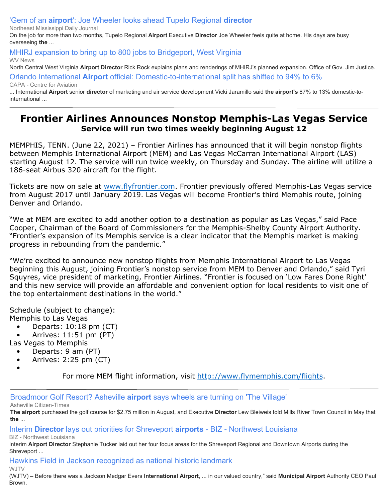['Gem of an](https://www.google.com/url?rct=j&sa=t&url=https://www.djournal.com/news/business/gem-of-an-airport-joe-wheeler-looks-ahead-tupelo-regional-director/article_e74e70b9-78bb-53ca-b33c-6123965e4f2f.html&ct=ga&cd=CAEYACoTODg2MzE5NzM2MDI1OTAzMTQ1MjIcMTQ4MGYwY2FmOWIyMTEyZTpjb206ZW46VVM6Ug&usg=AFQjCNFc6EOoHDKr5B09EVG2eyEUAsPxWQ) **[airport](https://www.google.com/url?rct=j&sa=t&url=https://www.djournal.com/news/business/gem-of-an-airport-joe-wheeler-looks-ahead-tupelo-regional-director/article_e74e70b9-78bb-53ca-b33c-6123965e4f2f.html&ct=ga&cd=CAEYACoTODg2MzE5NzM2MDI1OTAzMTQ1MjIcMTQ4MGYwY2FmOWIyMTEyZTpjb206ZW46VVM6Ug&usg=AFQjCNFc6EOoHDKr5B09EVG2eyEUAsPxWQ)**[': Joe Wheeler looks ahead Tupelo Regional](https://www.google.com/url?rct=j&sa=t&url=https://www.djournal.com/news/business/gem-of-an-airport-joe-wheeler-looks-ahead-tupelo-regional-director/article_e74e70b9-78bb-53ca-b33c-6123965e4f2f.html&ct=ga&cd=CAEYACoTODg2MzE5NzM2MDI1OTAzMTQ1MjIcMTQ4MGYwY2FmOWIyMTEyZTpjb206ZW46VVM6Ug&usg=AFQjCNFc6EOoHDKr5B09EVG2eyEUAsPxWQ) **[director](https://www.google.com/url?rct=j&sa=t&url=https://www.djournal.com/news/business/gem-of-an-airport-joe-wheeler-looks-ahead-tupelo-regional-director/article_e74e70b9-78bb-53ca-b33c-6123965e4f2f.html&ct=ga&cd=CAEYACoTODg2MzE5NzM2MDI1OTAzMTQ1MjIcMTQ4MGYwY2FmOWIyMTEyZTpjb206ZW46VVM6Ug&usg=AFQjCNFc6EOoHDKr5B09EVG2eyEUAsPxWQ)**

Northeast Mississippi Daily Journal

On the job for more than two months, Tupelo Regional **Airport** Executive **Director** Joe Wheeler feels quite at home. His days are busy overseeing **the** ...

# [MHIRJ expansion to bring up to 800 jobs to Bridgeport, West Virginia](https://www.google.com/url?rct=j&sa=t&url=https://www.wvnews.com/news/wvnews/mhirj-expansion-to-bring-up-to-800-jobs-to-bridgeport-west-virginia/article_db34aec7-7dc1-54f9-8876-c824978f526a.html&ct=ga&cd=CAEYASoTODg2MzE5NzM2MDI1OTAzMTQ1MjIcMTQ4MGYwY2FmOWIyMTEyZTpjb206ZW46VVM6Ug&usg=AFQjCNEjhz32mXo8cKKNtcJoISIJ-x_W9Q)

WV News

North Central West Virginia **Airport Director** Rick Rock explains plans and renderings of MHIRJ's planned expansion. Office of Gov. Jim Justice.

[Orlando International](https://www.google.com/url?rct=j&sa=t&url=https://centreforaviation.com/news/orlando-international-airport-official-domestic-to-international-split-has-shifted-to-94-to-6-1075039&ct=ga&cd=CAEYACoUMTUzNzM1NTUxODQ5NzYzMTIxNjkyHDE0ODBmMGNhZjliMjExMmU6Y29tOmVuOlVTOlI&usg=AFQjCNGPMXTBcI_JkfRMF7bT2AzmURBKyQ) **[Airport](https://www.google.com/url?rct=j&sa=t&url=https://centreforaviation.com/news/orlando-international-airport-official-domestic-to-international-split-has-shifted-to-94-to-6-1075039&ct=ga&cd=CAEYACoUMTUzNzM1NTUxODQ5NzYzMTIxNjkyHDE0ODBmMGNhZjliMjExMmU6Y29tOmVuOlVTOlI&usg=AFQjCNGPMXTBcI_JkfRMF7bT2AzmURBKyQ)** [official: Domestic-to-international split has shifted to 94% to 6%](https://www.google.com/url?rct=j&sa=t&url=https://centreforaviation.com/news/orlando-international-airport-official-domestic-to-international-split-has-shifted-to-94-to-6-1075039&ct=ga&cd=CAEYACoUMTUzNzM1NTUxODQ5NzYzMTIxNjkyHDE0ODBmMGNhZjliMjExMmU6Y29tOmVuOlVTOlI&usg=AFQjCNGPMXTBcI_JkfRMF7bT2AzmURBKyQ)

CAPA - Centre for Aviation

... International **Airport** senior **director** of marketing and air service development Vicki Jaramillo said **the airport's** 87% to 13% domestic-tointernational ...

# **Frontier Airlines Announces Nonstop Memphis-Las Vegas Service Service will run two times weekly beginning August 12**

MEMPHIS, TENN. (June 22, 2021) – Frontier Airlines has announced that it will begin nonstop flights between Memphis International Airport (MEM) and Las Vegas McCarran International Airport (LAS) starting August 12. The service will run twice weekly, on Thursday and Sunday. The airline will utilize a 186-seat Airbus 320 aircraft for the flight.

Tickets are now on sale at [www.flyfrontier.com](http://www.flyfrontier.com/). Frontier previously offered Memphis-Las Vegas service from August 2017 until January 2019. Las Vegas will become Frontier's third Memphis route, joining Denver and Orlando.

"We at MEM are excited to add another option to a destination as popular as Las Vegas," said Pace Cooper, Chairman of the Board of Commissioners for the Memphis-Shelby County Airport Authority. "Frontier's expansion of its Memphis service is a clear indicator that the Memphis market is making progress in rebounding from the pandemic."

"We're excited to announce new nonstop flights from Memphis International Airport to Las Vegas beginning this August, joining Frontier's nonstop service from MEM to Denver and Orlando," said Tyri Squyres, vice president of marketing, Frontier Airlines. "Frontier is focused on 'Low Fares Done Right' and this new service will provide an affordable and convenient option for local residents to visit one of the top entertainment destinations in the world."

Schedule (subject to change): Memphis to Las Vegas

- Departs: 10:18 pm (CT)
- Arrives: 11:51 pm (PT)
- Las Vegas to Memphis
- Departs: 9 am (PT)
- Arrives: 2:25 pm (CT)
- •

For more MEM flight information, visit [http://www.flymemphis.com/flights.](http://www.flymemphis.com/flights)

[Broadmoor Golf Resort? Asheville](https://www.google.com/url?rct=j&sa=t&url=https://www.citizen-times.com/story/news/2021/06/21/broadmoor-golf-resort-hotel-asheville-airport-says-wheels-turning/5294904001/&ct=ga&cd=CAEYACoSODg0NDk1MjQ1MzA0MDM0NDIyMhwxNDgwZjBjYWY5YjIxMTJlOmNvbTplbjpVUzpS&usg=AFQjCNGcMBsDkzRXrn-52JSue3VAiN1L-A) **[airport](https://www.google.com/url?rct=j&sa=t&url=https://www.citizen-times.com/story/news/2021/06/21/broadmoor-golf-resort-hotel-asheville-airport-says-wheels-turning/5294904001/&ct=ga&cd=CAEYACoSODg0NDk1MjQ1MzA0MDM0NDIyMhwxNDgwZjBjYWY5YjIxMTJlOmNvbTplbjpVUzpS&usg=AFQjCNGcMBsDkzRXrn-52JSue3VAiN1L-A)** [says wheels are turning on 'The Village'](https://www.google.com/url?rct=j&sa=t&url=https://www.citizen-times.com/story/news/2021/06/21/broadmoor-golf-resort-hotel-asheville-airport-says-wheels-turning/5294904001/&ct=ga&cd=CAEYACoSODg0NDk1MjQ1MzA0MDM0NDIyMhwxNDgwZjBjYWY5YjIxMTJlOmNvbTplbjpVUzpS&usg=AFQjCNGcMBsDkzRXrn-52JSue3VAiN1L-A)

Asheville Citizen-Times

**The airport** purchased the golf course for \$2.75 million in August, and Executive **Director** Lew Bleiweis told Mills River Town Council in May that **the** ...

[Interim](https://www.google.com/url?rct=j&sa=t&url=https://bizmagsb.com/2021/06/21/interim-director-lays-out-priorities-for-shreveport-airports/&ct=ga&cd=CAEYASoUMTYwNTY5MTM0MDYwMTUzODEyMDIyHDhlY2I2NzFkZWZlZDY4MWU6Y29tOmVuOlVTOlI&usg=AFQjCNFXtjIEWzgdxjYYys7mypXvFr9tmw) **[Director](https://www.google.com/url?rct=j&sa=t&url=https://bizmagsb.com/2021/06/21/interim-director-lays-out-priorities-for-shreveport-airports/&ct=ga&cd=CAEYASoUMTYwNTY5MTM0MDYwMTUzODEyMDIyHDhlY2I2NzFkZWZlZDY4MWU6Y29tOmVuOlVTOlI&usg=AFQjCNFXtjIEWzgdxjYYys7mypXvFr9tmw)** [lays out priorities for Shreveport](https://www.google.com/url?rct=j&sa=t&url=https://bizmagsb.com/2021/06/21/interim-director-lays-out-priorities-for-shreveport-airports/&ct=ga&cd=CAEYASoUMTYwNTY5MTM0MDYwMTUzODEyMDIyHDhlY2I2NzFkZWZlZDY4MWU6Y29tOmVuOlVTOlI&usg=AFQjCNFXtjIEWzgdxjYYys7mypXvFr9tmw) **[airports](https://www.google.com/url?rct=j&sa=t&url=https://bizmagsb.com/2021/06/21/interim-director-lays-out-priorities-for-shreveport-airports/&ct=ga&cd=CAEYASoUMTYwNTY5MTM0MDYwMTUzODEyMDIyHDhlY2I2NzFkZWZlZDY4MWU6Y29tOmVuOlVTOlI&usg=AFQjCNFXtjIEWzgdxjYYys7mypXvFr9tmw)** [- BIZ - Northwest Louisiana](https://www.google.com/url?rct=j&sa=t&url=https://bizmagsb.com/2021/06/21/interim-director-lays-out-priorities-for-shreveport-airports/&ct=ga&cd=CAEYASoUMTYwNTY5MTM0MDYwMTUzODEyMDIyHDhlY2I2NzFkZWZlZDY4MWU6Y29tOmVuOlVTOlI&usg=AFQjCNFXtjIEWzgdxjYYys7mypXvFr9tmw)

BIZ - Northwest Louisiana

Interim **Airport Director** Stephanie Tucker laid out her four focus areas for the Shreveport Regional and Downtown Airports during the Shreveport ...

[Hawkins Field in Jackson recognized as national historic landmark](https://www.google.com/url?rct=j&sa=t&url=https://www.wjtv.com/news/local-news/hawkins-field-in-jackson-recognized-as-national-historic-landmark/&ct=ga&cd=CAEYBioTODY4MTIyOTEwMTE3OTAyMTQ1NTIaMTJjMzA5N2VkNzU0OWY3ZTpjb206ZW46VVM&usg=AFQjCNEe9Z_ffviBV6WaV2Gm6qBzOPwddQ)

#### WJTV

(WJTV) – Before there was a Jackson Medgar Evers **International Airport**, ... in our valued country," said **Municipal Airport** Authority CEO Paul Brown.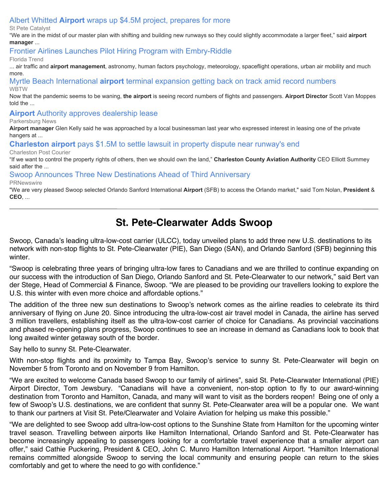# [Albert Whitted](https://www.google.com/url?rct=j&sa=t&url=https://stpetecatalyst.com/albert-whitted-airport-wraps-up-4-5m-project-prepares-for-more/&ct=ga&cd=CAEYACoUMTMyMTc3ODMyNzA5ODc2NTkwNzcyHDhlY2I2NzFkZWZlZDY4MWU6Y29tOmVuOlVTOlI&usg=AFQjCNHrAopTSR_oV0VT06pVpzOi4fMDlA) **[Airport](https://www.google.com/url?rct=j&sa=t&url=https://stpetecatalyst.com/albert-whitted-airport-wraps-up-4-5m-project-prepares-for-more/&ct=ga&cd=CAEYACoUMTMyMTc3ODMyNzA5ODc2NTkwNzcyHDhlY2I2NzFkZWZlZDY4MWU6Y29tOmVuOlVTOlI&usg=AFQjCNHrAopTSR_oV0VT06pVpzOi4fMDlA)** [wraps up \\$4.5M project, prepares for more](https://www.google.com/url?rct=j&sa=t&url=https://stpetecatalyst.com/albert-whitted-airport-wraps-up-4-5m-project-prepares-for-more/&ct=ga&cd=CAEYACoUMTMyMTc3ODMyNzA5ODc2NTkwNzcyHDhlY2I2NzFkZWZlZDY4MWU6Y29tOmVuOlVTOlI&usg=AFQjCNHrAopTSR_oV0VT06pVpzOi4fMDlA)

#### St Pete Catalyst

"We are in the midst of our master plan with shifting and building new runways so they could slightly accommodate a larger fleet," said **airport manager** ...

[Frontier Airlines Launches Pilot Hiring Program with Embry-Riddle](https://www.google.com/url?rct=j&sa=t&url=https://www.floridatrend.com/article/31456/frontier-airlines-launches-pilot-hiring-program-with-embry-riddle&ct=ga&cd=CAEYACoTOTA2MTU2MTI3MjI0NzA4NzU0NzIcOGVjYjY3MWRlZmVkNjgxZTpjb206ZW46VVM6Ug&usg=AFQjCNFChBjcIRp5HCFhlBSSNZ0htsrs7g)

#### Florida Trend

... air traffic and **airport management**, astronomy, human factors psychology, meteorology, spaceflight operations, urban air mobility and much more.

[Myrtle Beach International](https://www.google.com/url?rct=j&sa=t&url=https://www.wbtw.com/news/grand-strand/myrtle-beach-international-airport-terminal-expansion-getting-back-on-track-amid-record-numbers/&ct=ga&cd=CAEYACoTNDc0MTA5NTEyNzkwOTE1NDk0ODIcMTQ4MGYwY2FmOWIyMTEyZTpjb206ZW46VVM6Ug&usg=AFQjCNGGGPlIFsg9By-J9U8eCW6ZQQLhvw) **[airport](https://www.google.com/url?rct=j&sa=t&url=https://www.wbtw.com/news/grand-strand/myrtle-beach-international-airport-terminal-expansion-getting-back-on-track-amid-record-numbers/&ct=ga&cd=CAEYACoTNDc0MTA5NTEyNzkwOTE1NDk0ODIcMTQ4MGYwY2FmOWIyMTEyZTpjb206ZW46VVM6Ug&usg=AFQjCNGGGPlIFsg9By-J9U8eCW6ZQQLhvw)** [terminal expansion getting back on track amid record numbers](https://www.google.com/url?rct=j&sa=t&url=https://www.wbtw.com/news/grand-strand/myrtle-beach-international-airport-terminal-expansion-getting-back-on-track-amid-record-numbers/&ct=ga&cd=CAEYACoTNDc0MTA5NTEyNzkwOTE1NDk0ODIcMTQ4MGYwY2FmOWIyMTEyZTpjb206ZW46VVM6Ug&usg=AFQjCNGGGPlIFsg9By-J9U8eCW6ZQQLhvw) WBTW

Now that the pandemic seems to be waning, **the airport** is seeing record numbers of flights and passengers. **Airport Director** Scott Van Moppes told the ...

**[Airport](https://www.google.com/url?rct=j&sa=t&url=https://www.newsandsentinel.com/news/local-news/2021/06/airport-authority-approves-dealership-lease/&ct=ga&cd=CAEYACoTMzc1ODMxNjI4MTkxMzY5MjYzMDIcOGVjYjY3MWRlZmVkNjgxZTpjb206ZW46VVM6Ug&usg=AFQjCNEApaXlTY0nHxMkIXkiMOs6zTxbNA)** [Authority approves dealership lease](https://www.google.com/url?rct=j&sa=t&url=https://www.newsandsentinel.com/news/local-news/2021/06/airport-authority-approves-dealership-lease/&ct=ga&cd=CAEYACoTMzc1ODMxNjI4MTkxMzY5MjYzMDIcOGVjYjY3MWRlZmVkNjgxZTpjb206ZW46VVM6Ug&usg=AFQjCNEApaXlTY0nHxMkIXkiMOs6zTxbNA)

#### Parkersburg News

**Airport manager** Glen Kelly said he was approached by a local businessman last year who expressed interest in leasing one of the private hangers at ...

**[Charleston airport](https://www.google.com/url?rct=j&sa=t&url=https://www.postandcourier.com/business/charleston-airport-pays-1-5m-to-settle-lawsuit-in-property-dispute-near-runways-end/article_b12127ca-ca1a-11eb-ba56-43c6b1bee0be.html&ct=ga&cd=CAEYACoUMTA4MTk5NzQyMTI0MjE3MjQ0MTAyGjMyNjhmNWZjZDY0NjIzMmM6Y29tOmVuOlVT&usg=AFQjCNE4QQrNVD2LN6ujuL0x8OwLrjXKgQ)** [pays \\$1.5M to settle lawsuit in property dispute near runway's end](https://www.google.com/url?rct=j&sa=t&url=https://www.postandcourier.com/business/charleston-airport-pays-1-5m-to-settle-lawsuit-in-property-dispute-near-runways-end/article_b12127ca-ca1a-11eb-ba56-43c6b1bee0be.html&ct=ga&cd=CAEYACoUMTA4MTk5NzQyMTI0MjE3MjQ0MTAyGjMyNjhmNWZjZDY0NjIzMmM6Y29tOmVuOlVT&usg=AFQjCNE4QQrNVD2LN6ujuL0x8OwLrjXKgQ)

#### Charleston Post Courier

"If we want to control the property rights of others, then we should own the land," **Charleston County Aviation Authority** CEO Elliott Summey said after the ...

#### [Swoop Announces Three New Destinations Ahead of Third Anniversary](https://www.google.com/url?rct=j&sa=t&url=https://www.prnewswire.com/news-releases/swoop-announces-three-new-destinations-ahead-of-third-anniversary-301313330.html&ct=ga&cd=CAEYACoUMTA3MTY1NDIyMTQzNjY3NjM3NDkyHDE0ODBmMGNhZjliMjExMmU6Y29tOmVuOlVTOlI&usg=AFQjCNGvkJhdo21z0GqS06g2t6apOAV24g)

**PRNewswire** 

"We are very pleased Swoop selected Orlando Sanford International **Airport** (SFB) to access the Orlando market," said Tom Nolan, **President** & **CEO**, ...

# **St. Pete-Clearwater Adds Swoop**

Swoop, Canada's leading ultra-low-cost carrier (ULCC), today unveiled plans to add three new U.S. destinations to its network with non-stop flights to St. Pete-Clearwater (PIE), San Diego (SAN), and Orlando Sanford (SFB) beginning this winter.

"Swoop is celebrating three years of bringing ultra-low fares to Canadians and we are thrilled to continue expanding on our success with the introduction of San Diego, Orlando Sanford and St. Pete-Clearwater to our network," said Bert van der Stege, Head of Commercial & Finance, Swoop. "We are pleased to be providing our travellers looking to explore the U.S. this winter with even more choice and affordable options."

The addition of the three new sun destinations to Swoop's network comes as the airline readies to celebrate its third anniversary of flying on June 20. Since introducing the ultra-low-cost air travel model in Canada, the airline has served 3 million travellers, establishing itself as the ultra-low-cost carrier of choice for Canadians. As provincial vaccinations and phased re-opening plans progress, Swoop continues to see an increase in demand as Canadians look to book that long awaited winter getaway south of the border.

Say hello to sunny St. Pete-Clearwater.

With non-stop flights and its proximity to Tampa Bay, Swoop's service to sunny St. Pete-Clearwater will begin on November 5 from Toronto and on November 9 from Hamilton.

"We are excited to welcome Canada based Swoop to our family of airlines", said St. Pete-Clearwater International (PIE) Airport Director, Tom Jewsbury. "Canadians will have a convenient, non-stop option to fly to our award-winning destination from Toronto and Hamilton, Canada, and many will want to visit as the borders reopen! Being one of only a few of Swoop's U.S. destinations, we are confident that sunny St. Pete-Clearwater area will be a popular one. We want to thank our partners at Visit St. Pete/Clearwater and Volaire Aviation for helping us make this possible."

"We are delighted to see Swoop add ultra-low-cost options to the Sunshine State from Hamilton for the upcoming winter travel season. Travelling between airports like Hamilton International, Orlando Sanford and St. Pete-Clearwater has become increasingly appealing to passengers looking for a comfortable travel experience that a smaller airport can offer," said Cathie Puckering, President & CEO, John C. Munro Hamilton International Airport. "Hamilton International remains committed alongside Swoop to serving the local community and ensuring people can return to the skies comfortably and get to where the need to go with confidence."